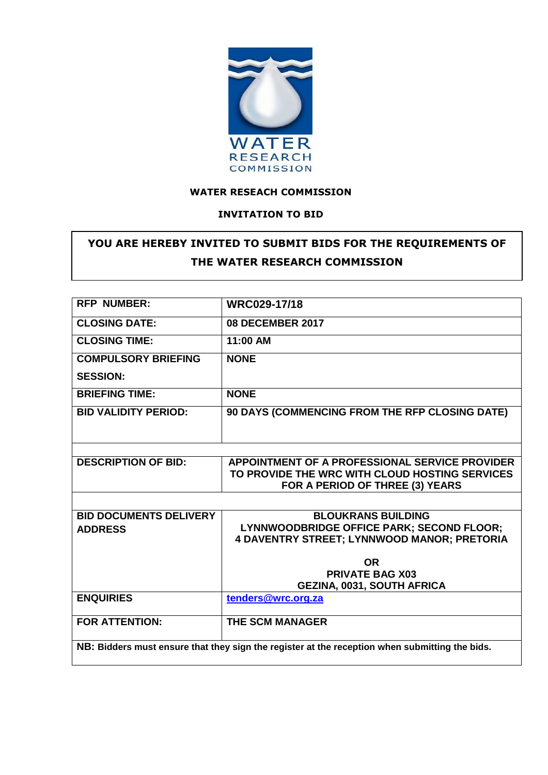

### **WATER RESEACH COMMISSION**

#### **INVITATION TO BID**

# **YOU ARE HEREBY INVITED TO SUBMIT BIDS FOR THE REQUIREMENTS OF THE WATER RESEARCH COMMISSION**

| <b>RFP NUMBER:</b>                                                                             | WRC029-17/18                                       |  |  |  |  |
|------------------------------------------------------------------------------------------------|----------------------------------------------------|--|--|--|--|
| <b>CLOSING DATE:</b>                                                                           | <b>08 DECEMBER 2017</b>                            |  |  |  |  |
| <b>CLOSING TIME:</b>                                                                           | 11:00 AM                                           |  |  |  |  |
| <b>COMPULSORY BRIEFING</b>                                                                     | <b>NONE</b>                                        |  |  |  |  |
| <b>SESSION:</b>                                                                                |                                                    |  |  |  |  |
| <b>BRIEFING TIME:</b>                                                                          | <b>NONE</b>                                        |  |  |  |  |
| <b>BID VALIDITY PERIOD:</b>                                                                    | 90 DAYS (COMMENCING FROM THE RFP CLOSING DATE)     |  |  |  |  |
|                                                                                                |                                                    |  |  |  |  |
|                                                                                                |                                                    |  |  |  |  |
| <b>DESCRIPTION OF BID:</b>                                                                     | APPOINTMENT OF A PROFESSIONAL SERVICE PROVIDER     |  |  |  |  |
|                                                                                                | TO PROVIDE THE WRC WITH CLOUD HOSTING SERVICES     |  |  |  |  |
|                                                                                                | FOR A PERIOD OF THREE (3) YEARS                    |  |  |  |  |
|                                                                                                |                                                    |  |  |  |  |
| <b>BID DOCUMENTS DELIVERY</b>                                                                  | <b>BLOUKRANS BUILDING</b>                          |  |  |  |  |
| <b>ADDRESS</b>                                                                                 | LYNNWOODBRIDGE OFFICE PARK; SECOND FLOOR;          |  |  |  |  |
|                                                                                                | <b>4 DAVENTRY STREET; LYNNWOOD MANOR; PRETORIA</b> |  |  |  |  |
|                                                                                                | <b>OR</b>                                          |  |  |  |  |
|                                                                                                | <b>PRIVATE BAG X03</b>                             |  |  |  |  |
|                                                                                                | <b>GEZINA, 0031, SOUTH AFRICA</b>                  |  |  |  |  |
| <b>ENQUIRIES</b>                                                                               | tenders@wrc.org.za                                 |  |  |  |  |
|                                                                                                |                                                    |  |  |  |  |
| <b>FOR ATTENTION:</b>                                                                          | <b>THE SCM MANAGER</b>                             |  |  |  |  |
|                                                                                                |                                                    |  |  |  |  |
| NB: Bidders must ensure that they sign the register at the reception when submitting the bids. |                                                    |  |  |  |  |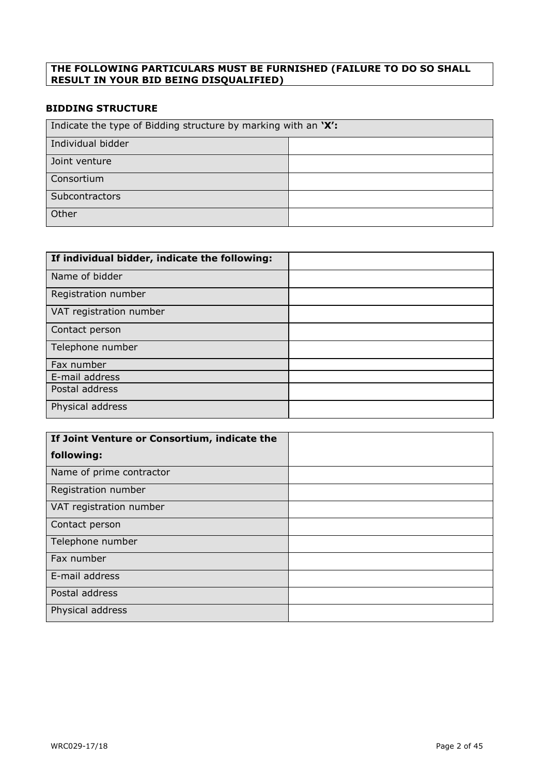#### **THE FOLLOWING PARTICULARS MUST BE FURNISHED (FAILURE TO DO SO SHALL RESULT IN YOUR BID BEING DISQUALIFIED)**

### **BIDDING STRUCTURE**

| Indicate the type of Bidding structure by marking with an 'X': |  |  |  |
|----------------------------------------------------------------|--|--|--|
| Individual bidder                                              |  |  |  |
| Joint venture                                                  |  |  |  |
| Consortium                                                     |  |  |  |
| Subcontractors                                                 |  |  |  |
| Other                                                          |  |  |  |

| If individual bidder, indicate the following: |  |
|-----------------------------------------------|--|
| Name of bidder                                |  |
| Registration number                           |  |
| VAT registration number                       |  |
| Contact person                                |  |
| Telephone number                              |  |
| Fax number                                    |  |
| E-mail address                                |  |
| Postal address                                |  |
| Physical address                              |  |

| If Joint Venture or Consortium, indicate the |  |
|----------------------------------------------|--|
| following:                                   |  |
| Name of prime contractor                     |  |
| Registration number                          |  |
| VAT registration number                      |  |
| Contact person                               |  |
| Telephone number                             |  |
| Fax number                                   |  |
| E-mail address                               |  |
| Postal address                               |  |
| Physical address                             |  |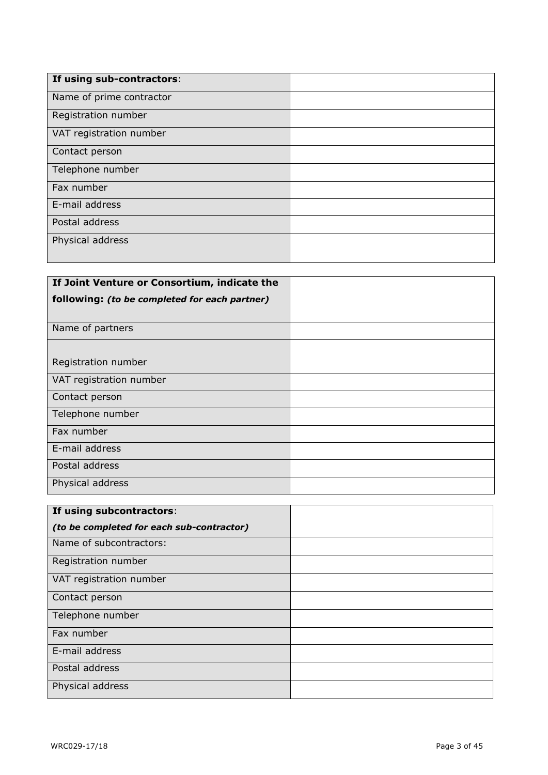| If using sub-contractors: |  |
|---------------------------|--|
| Name of prime contractor  |  |
| Registration number       |  |
| VAT registration number   |  |
| Contact person            |  |
| Telephone number          |  |
| Fax number                |  |
| E-mail address            |  |
| Postal address            |  |
| Physical address          |  |
|                           |  |

| If Joint Venture or Consortium, indicate the  |  |
|-----------------------------------------------|--|
| following: (to be completed for each partner) |  |
|                                               |  |
| Name of partners                              |  |
|                                               |  |
| Registration number                           |  |
| VAT registration number                       |  |
| Contact person                                |  |
| Telephone number                              |  |
| Fax number                                    |  |
| E-mail address                                |  |
| Postal address                                |  |
| Physical address                              |  |

| If using subcontractors:                  |  |
|-------------------------------------------|--|
| (to be completed for each sub-contractor) |  |
| Name of subcontractors:                   |  |
| Registration number                       |  |
| VAT registration number                   |  |
| Contact person                            |  |
| Telephone number                          |  |
| Fax number                                |  |
| E-mail address                            |  |
| Postal address                            |  |
| Physical address                          |  |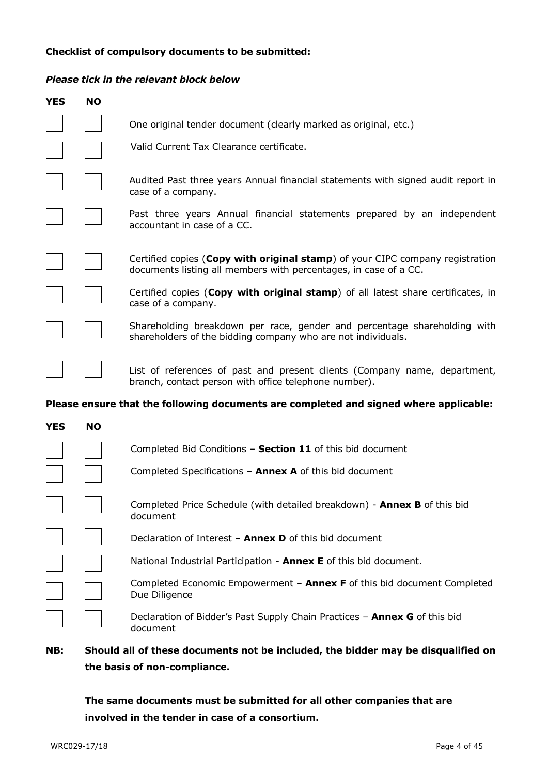#### **Checklist of compulsory documents to be submitted:**

#### *Please tick in the relevant block below*

| <b>YES</b> | <b>NO</b> |                                                                                                                                                   |
|------------|-----------|---------------------------------------------------------------------------------------------------------------------------------------------------|
|            |           | One original tender document (clearly marked as original, etc.)                                                                                   |
|            |           | Valid Current Tax Clearance certificate.                                                                                                          |
|            |           | Audited Past three years Annual financial statements with signed audit report in<br>case of a company.                                            |
|            |           | Past three years Annual financial statements prepared by an independent<br>accountant in case of a CC.                                            |
|            |           | Certified copies (Copy with original stamp) of your CIPC company registration<br>documents listing all members with percentages, in case of a CC. |
|            |           | Certified copies (Copy with original stamp) of all latest share certificates, in<br>case of a company.                                            |
|            |           | Shareholding breakdown per race, gender and percentage shareholding with<br>shareholders of the bidding company who are not individuals.          |
|            |           | List of references of past and present clients (Company name, department,<br>branch, contact person with office telephone number).                |
|            |           | Please ensure that the following documents are completed and signed where applicable:                                                             |
| <b>YES</b> | <b>NO</b> |                                                                                                                                                   |
|            |           | Completed Bid Conditions - Section 11 of this bid document                                                                                        |
|            |           | Completed Specifications $-$ Annex A of this bid document                                                                                         |

| Completed Price Schedule (with detailed breakdown) - Annex B of this bid |  |
|--------------------------------------------------------------------------|--|
| document                                                                 |  |

Declaration of Interest – **Annex D** of this bid document

|  |  |  |  | National Industrial Participation - <b>Annex E</b> of this bid document. |  |  |  |  |  |
|--|--|--|--|--------------------------------------------------------------------------|--|--|--|--|--|
|--|--|--|--|--------------------------------------------------------------------------|--|--|--|--|--|

Completed Economic Empowerment – **Annex F** of this bid document Completed Due Diligence

Declaration of Bidder's Past Supply Chain Practices – **Annex G** of this bid document

### **NB: Should all of these documents not be included, the bidder may be disqualified on the basis of non-compliance.**

**The same documents must be submitted for all other companies that are involved in the tender in case of a consortium.**

 $\Box$ 

 $\mathcal{L}^{\text{max}}$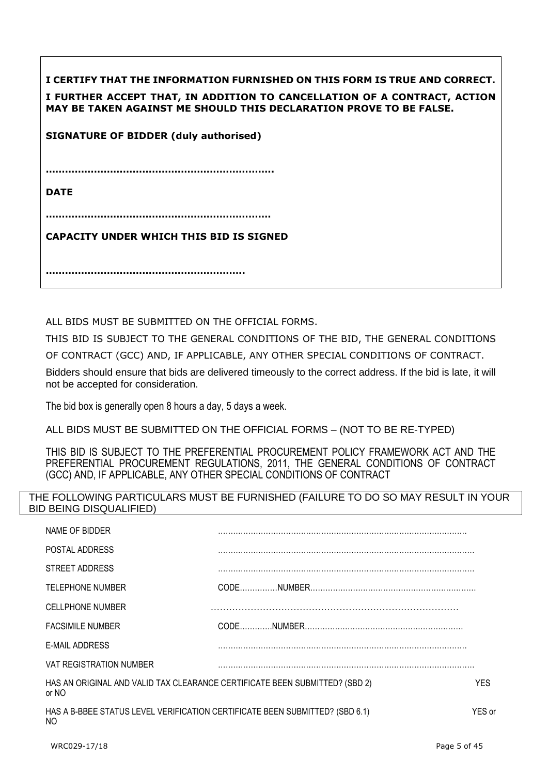| I CERTIFY THAT THE INFORMATION FURNISHED ON THIS FORM IS TRUE AND CORRECT.<br>I FURTHER ACCEPT THAT, IN ADDITION TO CANCELLATION OF A CONTRACT, ACTION<br>MAY BE TAKEN AGAINST ME SHOULD THIS DECLARATION PROVE TO BE FALSE. |
|------------------------------------------------------------------------------------------------------------------------------------------------------------------------------------------------------------------------------|
| <b>SIGNATURE OF BIDDER (duly authorised)</b>                                                                                                                                                                                 |
|                                                                                                                                                                                                                              |
| <b>DATE</b>                                                                                                                                                                                                                  |
|                                                                                                                                                                                                                              |
| <b>CAPACITY UNDER WHICH THIS BID IS SIGNED</b>                                                                                                                                                                               |
|                                                                                                                                                                                                                              |

ALL BIDS MUST BE SUBMITTED ON THE OFFICIAL FORMS.

THIS BID IS SUBJECT TO THE GENERAL CONDITIONS OF THE BID, THE GENERAL CONDITIONS OF CONTRACT (GCC) AND, IF APPLICABLE, ANY OTHER SPECIAL CONDITIONS OF CONTRACT.

Bidders should ensure that bids are delivered timeously to the correct address. If the bid is late, it will not be accepted for consideration.

The bid box is generally open 8 hours a day, 5 days a week.

ALL BIDS MUST BE SUBMITTED ON THE OFFICIAL FORMS – (NOT TO BE RE-TYPED)

THIS BID IS SUBJECT TO THE PREFERENTIAL PROCUREMENT POLICY FRAMEWORK ACT AND THE PREFERENTIAL PROCUREMENT REGULATIONS, 2011, THE GENERAL CONDITIONS OF CONTRACT (GCC) AND, IF APPLICABLE, ANY OTHER SPECIAL CONDITIONS OF CONTRACT

### THE FOLLOWING PARTICULARS MUST BE FURNISHED (FAILURE TO DO SO MAY RESULT IN YOUR BID BEING DISQUALIFIED)

| NAME OF BIDDER                                                                       |        |
|--------------------------------------------------------------------------------------|--------|
| POSTAL ADDRESS                                                                       |        |
| STREET ADDRESS                                                                       |        |
| <b>TELEPHONE NUMBER</b>                                                              |        |
| <b>CELLPHONE NUMBER</b>                                                              |        |
| <b>FACSIMILE NUMBER</b>                                                              |        |
| E-MAIL ADDRESS                                                                       |        |
| VAT REGISTRATION NUMBER                                                              |        |
| HAS AN ORIGINAL AND VALID TAX CLEARANCE CERTIFICATE BEEN SUBMITTED? (SBD 2)<br>or NO | YES.   |
| HAS A B-BBEE STATUS LEVEL VERIFICATION CERTIFICATE BEEN SUBMITTED? (SBD 6.1)<br>NO   | YES or |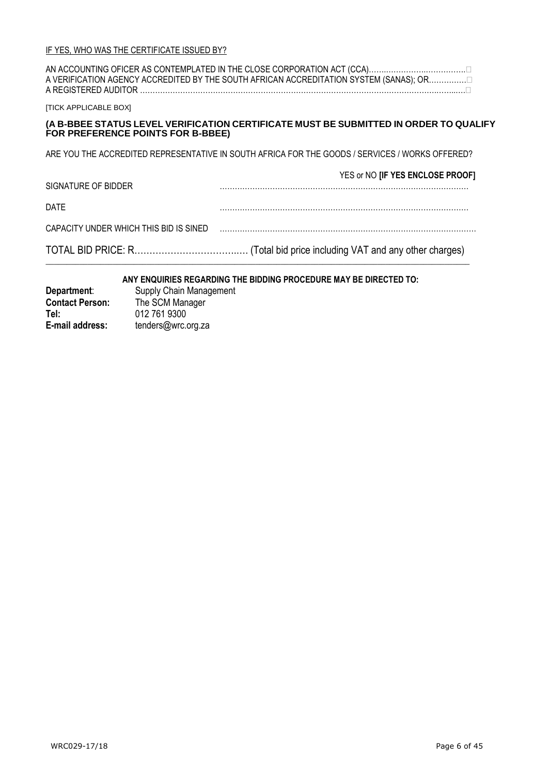| A REGISTERED AUDITOR.                  | A VERIFICATION AGENCY ACCREDITED BY THE SOUTH AFRICAN ACCREDITATION SYSTEM (SANAS); OR          |
|----------------------------------------|-------------------------------------------------------------------------------------------------|
| <b>ITICK APPLICABLE BOXI</b>           |                                                                                                 |
| FOR PREFERENCE POINTS FOR B-BBEE)      | (A B-BBEE STATUS LEVEL VERIFICATION CERTIFICATE MUST BE SUBMITTED IN ORDER TO QUALIFY           |
|                                        | ARE YOU THE ACCREDITED REPRESENTATIVE IN SOUTH AFRICA FOR THE GOODS / SERVICES / WORKS OFFERED? |
| SIGNATURE OF BIDDER                    | YES or NO [IF YES ENCLOSE PROOF]                                                                |
| DATE                                   |                                                                                                 |
| CAPACITY UNDER WHICH THIS BID IS SINED |                                                                                                 |
|                                        |                                                                                                 |

#### **ANY ENQUIRIES REGARDING THE BIDDING PROCEDURE MAY BE DIRECTED TO:**

 $\_$  , and the set of the set of the set of the set of the set of the set of the set of the set of the set of the set of the set of the set of the set of the set of the set of the set of the set of the set of the set of th

| Department:            | Supply Chain Management |
|------------------------|-------------------------|
| <b>Contact Person:</b> | The SCM Manager         |
| Tel:                   | 012 761 9300            |
| E-mail address:        | tenders@wrc.org.za      |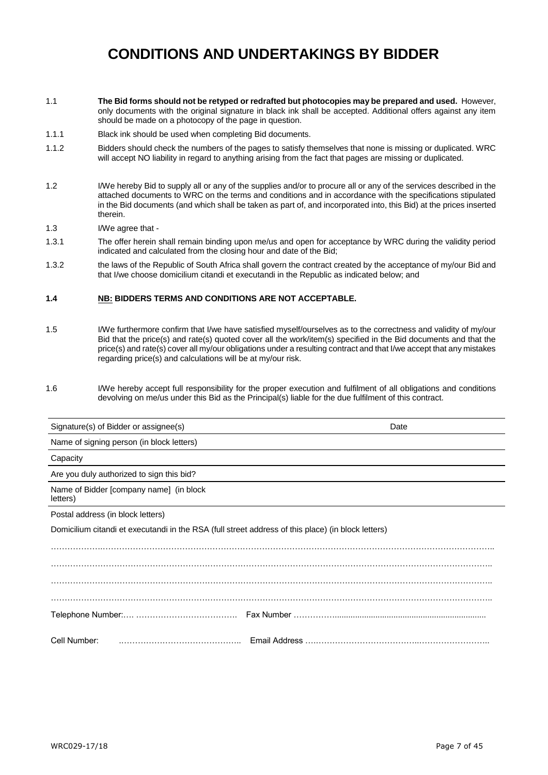# **CONDITIONS AND UNDERTAKINGS BY BIDDER**

- 1.1 **The Bid forms should not be retyped or redrafted but photocopies may be prepared and used.** However, only documents with the original signature in black ink shall be accepted. Additional offers against any item should be made on a photocopy of the page in question.
- 1.1.1 Black ink should be used when completing Bid documents.
- 1.1.2 Bidders should check the numbers of the pages to satisfy themselves that none is missing or duplicated. WRC will accept NO liability in regard to anything arising from the fact that pages are missing or duplicated.
- 1.2 I/We hereby Bid to supply all or any of the supplies and/or to procure all or any of the services described in the attached documents to WRC on the terms and conditions and in accordance with the specifications stipulated in the Bid documents (and which shall be taken as part of, and incorporated into, this Bid) at the prices inserted therein.
- 1.3 I/We agree that -
- 1.3.1 The offer herein shall remain binding upon me/us and open for acceptance by WRC during the validity period indicated and calculated from the closing hour and date of the Bid;
- 1.3.2 the laws of the Republic of South Africa shall govern the contract created by the acceptance of my/our Bid and that I/we choose domicilium citandi et executandi in the Republic as indicated below; and

#### **1.4 NB: BIDDERS TERMS AND CONDITIONS ARE NOT ACCEPTABLE.**

- 1.5 I/We furthermore confirm that I/we have satisfied myself/ourselves as to the correctness and validity of my/our Bid that the price(s) and rate(s) quoted cover all the work/item(s) specified in the Bid documents and that the price(s) and rate(s) cover all my/our obligations under a resulting contract and that I/we accept that any mistakes regarding price(s) and calculations will be at my/our risk.
- 1.6 I/We hereby accept full responsibility for the proper execution and fulfilment of all obligations and conditions devolving on me/us under this Bid as the Principal(s) liable for the due fulfilment of this contract.

| Signature(s) of Bidder or assignee(s)                                                              | Date |
|----------------------------------------------------------------------------------------------------|------|
| Name of signing person (in block letters)                                                          |      |
| Capacity                                                                                           |      |
| Are you duly authorized to sign this bid?                                                          |      |
| Name of Bidder [company name] (in block<br>letters)                                                |      |
| Postal address (in block letters)                                                                  |      |
| Domicilium citandi et executandi in the RSA (full street address of this place) (in block letters) |      |
|                                                                                                    |      |
|                                                                                                    |      |
|                                                                                                    |      |
|                                                                                                    |      |
|                                                                                                    |      |
| Cell Number:                                                                                       |      |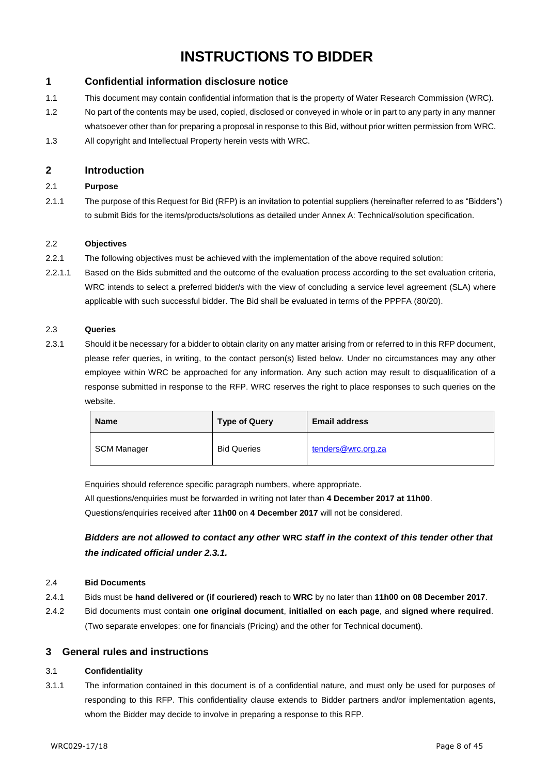# **INSTRUCTIONS TO BIDDER**

#### **1 Confidential information disclosure notice**

- 1.1 This document may contain confidential information that is the property of Water Research Commission (WRC).
- 1.2 No part of the contents may be used, copied, disclosed or conveyed in whole or in part to any party in any manner whatsoever other than for preparing a proposal in response to this Bid, without prior written permission from WRC.
- 1.3 All copyright and Intellectual Property herein vests with WRC.

#### **2 Introduction**

#### 2.1 **Purpose**

2.1.1 The purpose of this Request for Bid (RFP) is an invitation to potential suppliers (hereinafter referred to as "Bidders") to submit Bids for the items/products/solutions as detailed under Annex A: Technical/solution specification.

#### 2.2 **Objectives**

- 2.2.1 The following objectives must be achieved with the implementation of the above required solution:
- 2.2.1.1 Based on the Bids submitted and the outcome of the evaluation process according to the set evaluation criteria, WRC intends to select a preferred bidder/s with the view of concluding a service level agreement (SLA) where applicable with such successful bidder. The Bid shall be evaluated in terms of the PPPFA (80/20).

#### 2.3 **Queries**

2.3.1 Should it be necessary for a bidder to obtain clarity on any matter arising from or referred to in this RFP document, please refer queries, in writing, to the contact person(s) listed below. Under no circumstances may any other employee within WRC be approached for any information. Any such action may result to disqualification of a response submitted in response to the RFP. WRC reserves the right to place responses to such queries on the website.

| <b>Name</b> | <b>Type of Query</b> | <b>Email address</b> |
|-------------|----------------------|----------------------|
| SCM Manager | <b>Bid Queries</b>   | tenders@wrc.org.za   |

Enquiries should reference specific paragraph numbers, where appropriate.

All questions/enquiries must be forwarded in writing not later than **4 December 2017 at 11h00**. Questions/enquiries received after **11h00** on **4 December 2017** will not be considered.

*Bidders are not allowed to contact any other* **WRC** *staff in the context of this tender other that the indicated official under 2.3.1.*

#### 2.4 **Bid Documents**

- 2.4.1 Bids must be **hand delivered or (if couriered) reach** to **WRC** by no later than **11h00 on 08 December 2017**.
- 2.4.2 Bid documents must contain **one original document**, **initialled on each page**, and **signed where required**. (Two separate envelopes: one for financials (Pricing) and the other for Technical document).

#### **3 General rules and instructions**

#### 3.1 **Confidentiality**

3.1.1 The information contained in this document is of a confidential nature, and must only be used for purposes of responding to this RFP. This confidentiality clause extends to Bidder partners and/or implementation agents, whom the Bidder may decide to involve in preparing a response to this RFP.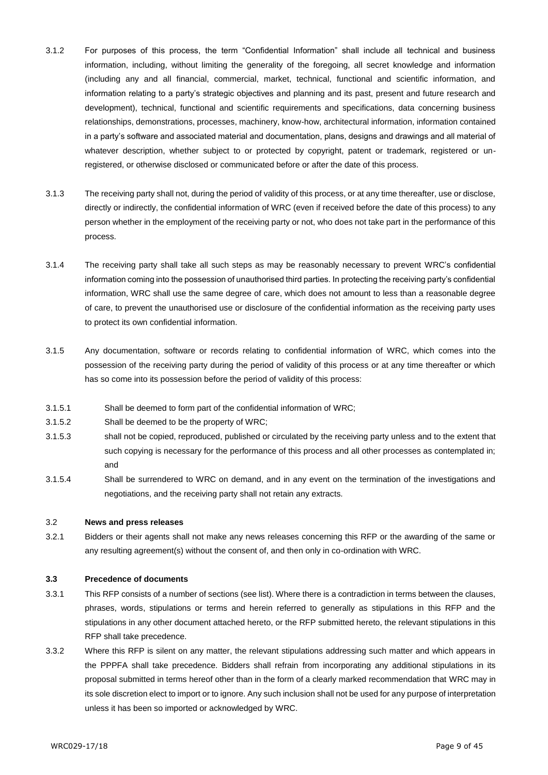- 3.1.2 For purposes of this process, the term "Confidential Information" shall include all technical and business information, including, without limiting the generality of the foregoing, all secret knowledge and information (including any and all financial, commercial, market, technical, functional and scientific information, and information relating to a party's strategic objectives and planning and its past, present and future research and development), technical, functional and scientific requirements and specifications, data concerning business relationships, demonstrations, processes, machinery, know-how, architectural information, information contained in a party's software and associated material and documentation, plans, designs and drawings and all material of whatever description, whether subject to or protected by copyright, patent or trademark, registered or unregistered, or otherwise disclosed or communicated before or after the date of this process.
- 3.1.3 The receiving party shall not, during the period of validity of this process, or at any time thereafter, use or disclose, directly or indirectly, the confidential information of WRC (even if received before the date of this process) to any person whether in the employment of the receiving party or not, who does not take part in the performance of this process.
- 3.1.4 The receiving party shall take all such steps as may be reasonably necessary to prevent WRC's confidential information coming into the possession of unauthorised third parties. In protecting the receiving party's confidential information, WRC shall use the same degree of care, which does not amount to less than a reasonable degree of care, to prevent the unauthorised use or disclosure of the confidential information as the receiving party uses to protect its own confidential information.
- 3.1.5 Any documentation, software or records relating to confidential information of WRC, which comes into the possession of the receiving party during the period of validity of this process or at any time thereafter or which has so come into its possession before the period of validity of this process:
- 3.1.5.1 Shall be deemed to form part of the confidential information of WRC;
- 3.1.5.2 Shall be deemed to be the property of WRC;
- 3.1.5.3 shall not be copied, reproduced, published or circulated by the receiving party unless and to the extent that such copying is necessary for the performance of this process and all other processes as contemplated in; and
- 3.1.5.4 Shall be surrendered to WRC on demand, and in any event on the termination of the investigations and negotiations, and the receiving party shall not retain any extracts.

#### 3.2 **News and press releases**

3.2.1 Bidders or their agents shall not make any news releases concerning this RFP or the awarding of the same or any resulting agreement(s) without the consent of, and then only in co-ordination with WRC.

#### **3.3 Precedence of documents**

- 3.3.1 This RFP consists of a number of sections (see list). Where there is a contradiction in terms between the clauses, phrases, words, stipulations or terms and herein referred to generally as stipulations in this RFP and the stipulations in any other document attached hereto, or the RFP submitted hereto, the relevant stipulations in this RFP shall take precedence.
- 3.3.2 Where this RFP is silent on any matter, the relevant stipulations addressing such matter and which appears in the PPPFA shall take precedence. Bidders shall refrain from incorporating any additional stipulations in its proposal submitted in terms hereof other than in the form of a clearly marked recommendation that WRC may in its sole discretion elect to import or to ignore. Any such inclusion shall not be used for any purpose of interpretation unless it has been so imported or acknowledged by WRC.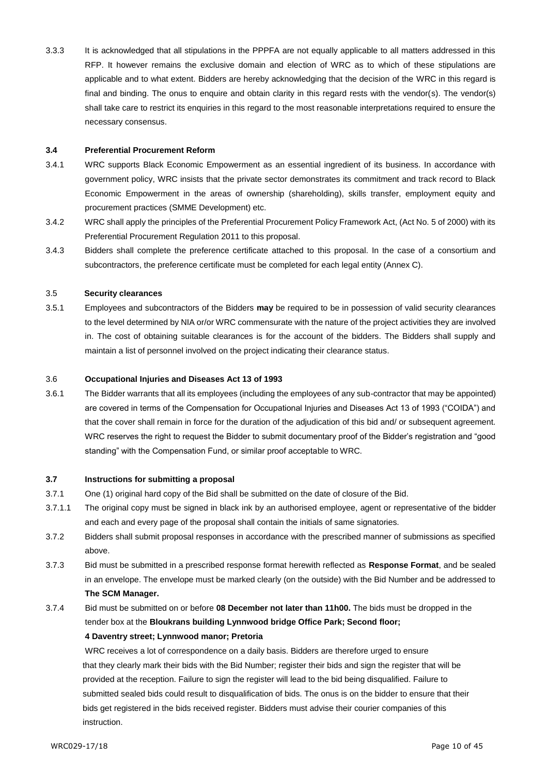3.3.3 It is acknowledged that all stipulations in the PPPFA are not equally applicable to all matters addressed in this RFP. It however remains the exclusive domain and election of WRC as to which of these stipulations are applicable and to what extent. Bidders are hereby acknowledging that the decision of the WRC in this regard is final and binding. The onus to enquire and obtain clarity in this regard rests with the vendor(s). The vendor(s) shall take care to restrict its enquiries in this regard to the most reasonable interpretations required to ensure the necessary consensus.

#### **3.4 Preferential Procurement Reform**

- 3.4.1 WRC supports Black Economic Empowerment as an essential ingredient of its business. In accordance with government policy, WRC insists that the private sector demonstrates its commitment and track record to Black Economic Empowerment in the areas of ownership (shareholding), skills transfer, employment equity and procurement practices (SMME Development) etc.
- 3.4.2 WRC shall apply the principles of the Preferential Procurement Policy Framework Act, (Act No. 5 of 2000) with its Preferential Procurement Regulation 2011 to this proposal.
- 3.4.3 Bidders shall complete the preference certificate attached to this proposal. In the case of a consortium and subcontractors, the preference certificate must be completed for each legal entity (Annex C).

#### 3.5 **Security clearances**

3.5.1 Employees and subcontractors of the Bidders **may** be required to be in possession of valid security clearances to the level determined by NIA or/or WRC commensurate with the nature of the project activities they are involved in. The cost of obtaining suitable clearances is for the account of the bidders. The Bidders shall supply and maintain a list of personnel involved on the project indicating their clearance status.

#### 3.6 **Occupational Injuries and Diseases Act 13 of 1993**

3.6.1 The Bidder warrants that all its employees (including the employees of any sub-contractor that may be appointed) are covered in terms of the Compensation for Occupational Injuries and Diseases Act 13 of 1993 ("COIDA") and that the cover shall remain in force for the duration of the adjudication of this bid and/ or subsequent agreement. WRC reserves the right to request the Bidder to submit documentary proof of the Bidder's registration and "good standing" with the Compensation Fund, or similar proof acceptable to WRC.

#### **3.7 Instructions for submitting a proposal**

- 3.7.1 One (1) original hard copy of the Bid shall be submitted on the date of closure of the Bid.
- 3.7.1.1 The original copy must be signed in black ink by an authorised employee, agent or representative of the bidder and each and every page of the proposal shall contain the initials of same signatories.
- 3.7.2 Bidders shall submit proposal responses in accordance with the prescribed manner of submissions as specified above.
- 3.7.3 Bid must be submitted in a prescribed response format herewith reflected as **Response Format**, and be sealed in an envelope. The envelope must be marked clearly (on the outside) with the Bid Number and be addressed to **The SCM Manager.**
- 3.7.4 Bid must be submitted on or before **08 December not later than 11h00.** The bids must be dropped in the tender box at the **Bloukrans building Lynnwood bridge Office Park; Second floor;**

#### **4 Daventry street; Lynnwood manor; Pretoria**

WRC receives a lot of correspondence on a daily basis. Bidders are therefore urged to ensure that they clearly mark their bids with the Bid Number; register their bids and sign the register that will be provided at the reception. Failure to sign the register will lead to the bid being disqualified. Failure to submitted sealed bids could result to disqualification of bids. The onus is on the bidder to ensure that their bids get registered in the bids received register. Bidders must advise their courier companies of this instruction.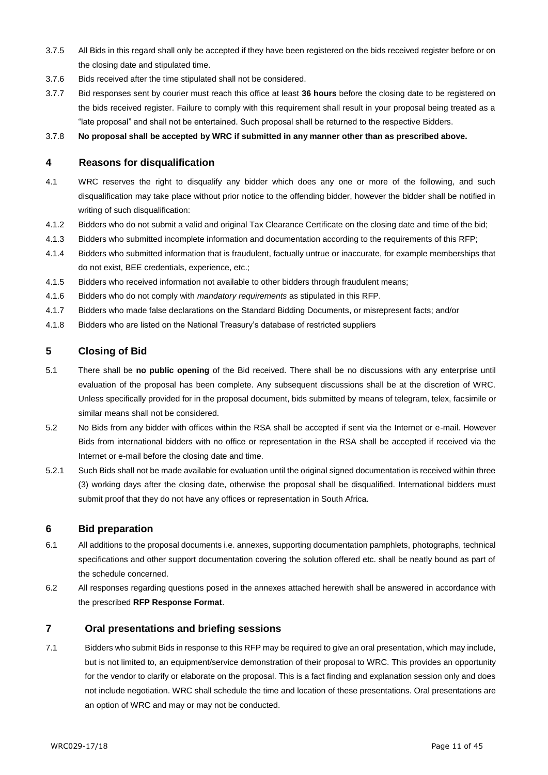- 3.7.5 All Bids in this regard shall only be accepted if they have been registered on the bids received register before or on the closing date and stipulated time.
- 3.7.6 Bids received after the time stipulated shall not be considered.
- 3.7.7 Bid responses sent by courier must reach this office at least **36 hours** before the closing date to be registered on the bids received register. Failure to comply with this requirement shall result in your proposal being treated as a "late proposal" and shall not be entertained. Such proposal shall be returned to the respective Bidders.

3.7.8 **No proposal shall be accepted by WRC if submitted in any manner other than as prescribed above.**

#### **4 Reasons for disqualification**

- 4.1 WRC reserves the right to disqualify any bidder which does any one or more of the following, and such disqualification may take place without prior notice to the offending bidder, however the bidder shall be notified in writing of such disqualification:
- 4.1.2 Bidders who do not submit a valid and original Tax Clearance Certificate on the closing date and time of the bid;
- 4.1.3 Bidders who submitted incomplete information and documentation according to the requirements of this RFP;
- 4.1.4 Bidders who submitted information that is fraudulent, factually untrue or inaccurate, for example memberships that do not exist, BEE credentials, experience, etc.;
- 4.1.5 Bidders who received information not available to other bidders through fraudulent means;
- 4.1.6 Bidders who do not comply with *mandatory requirements* as stipulated in this RFP.
- 4.1.7 Bidders who made false declarations on the Standard Bidding Documents, or misrepresent facts; and/or
- 4.1.8 Bidders who are listed on the National Treasury's database of restricted suppliers

#### **5 Closing of Bid**

- 5.1 There shall be **no public opening** of the Bid received. There shall be no discussions with any enterprise until evaluation of the proposal has been complete. Any subsequent discussions shall be at the discretion of WRC. Unless specifically provided for in the proposal document, bids submitted by means of telegram, telex, facsimile or similar means shall not be considered.
- 5.2 No Bids from any bidder with offices within the RSA shall be accepted if sent via the Internet or e-mail. However Bids from international bidders with no office or representation in the RSA shall be accepted if received via the Internet or e-mail before the closing date and time.
- 5.2.1 Such Bids shall not be made available for evaluation until the original signed documentation is received within three (3) working days after the closing date, otherwise the proposal shall be disqualified. International bidders must submit proof that they do not have any offices or representation in South Africa.

#### **6 Bid preparation**

- 6.1 All additions to the proposal documents i.e. annexes, supporting documentation pamphlets, photographs, technical specifications and other support documentation covering the solution offered etc. shall be neatly bound as part of the schedule concerned.
- 6.2 All responses regarding questions posed in the annexes attached herewith shall be answered in accordance with the prescribed **RFP Response Format**.

#### **7 Oral presentations and briefing sessions**

7.1 Bidders who submit Bids in response to this RFP may be required to give an oral presentation, which may include, but is not limited to, an equipment/service demonstration of their proposal to WRC. This provides an opportunity for the vendor to clarify or elaborate on the proposal. This is a fact finding and explanation session only and does not include negotiation. WRC shall schedule the time and location of these presentations. Oral presentations are an option of WRC and may or may not be conducted.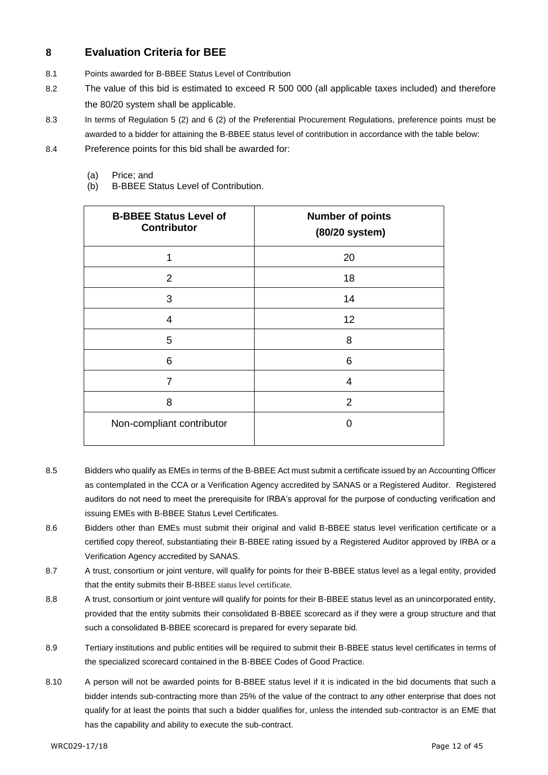### **8 Evaluation Criteria for BEE**

- 8.1 Points awarded for B-BBEE Status Level of Contribution
- 8.2 The value of this bid is estimated to exceed R 500 000 (all applicable taxes included) and therefore the 80/20 system shall be applicable.
- 8.3 In terms of Regulation 5 (2) and 6 (2) of the Preferential Procurement Regulations, preference points must be awarded to a bidder for attaining the B-BBEE status level of contribution in accordance with the table below:
- 8.4 Preference points for this bid shall be awarded for:
	- (a) Price; and
	- (b) B-BBEE Status Level of Contribution.

| <b>B-BBEE Status Level of</b><br><b>Contributor</b> | <b>Number of points</b><br>(80/20 system) |
|-----------------------------------------------------|-------------------------------------------|
| 1                                                   | 20                                        |
| 2                                                   | 18                                        |
| 3                                                   | 14                                        |
| $\overline{4}$                                      | 12                                        |
| 5                                                   | 8                                         |
| 6                                                   | 6                                         |
| 7                                                   | 4                                         |
| 8                                                   | 2                                         |
| Non-compliant contributor                           | O                                         |

- 8.5 Bidders who qualify as EMEs in terms of the B-BBEE Act must submit a certificate issued by an Accounting Officer as contemplated in the CCA or a Verification Agency accredited by SANAS or a Registered Auditor. Registered auditors do not need to meet the prerequisite for IRBA's approval for the purpose of conducting verification and issuing EMEs with B-BBEE Status Level Certificates.
- 8.6 Bidders other than EMEs must submit their original and valid B-BBEE status level verification certificate or a certified copy thereof, substantiating their B-BBEE rating issued by a Registered Auditor approved by IRBA or a Verification Agency accredited by SANAS.
- 8.7 A trust, consortium or joint venture, will qualify for points for their B-BBEE status level as a legal entity, provided that the entity submits their B-BBEE status level certificate.
- 8.8 A trust, consortium or joint venture will qualify for points for their B-BBEE status level as an unincorporated entity, provided that the entity submits their consolidated B-BBEE scorecard as if they were a group structure and that such a consolidated B-BBEE scorecard is prepared for every separate bid.
- 8.9 Tertiary institutions and public entities will be required to submit their B-BBEE status level certificates in terms of the specialized scorecard contained in the B-BBEE Codes of Good Practice.
- 8.10 A person will not be awarded points for B-BBEE status level if it is indicated in the bid documents that such a bidder intends sub-contracting more than 25% of the value of the contract to any other enterprise that does not qualify for at least the points that such a bidder qualifies for, unless the intended sub-contractor is an EME that has the capability and ability to execute the sub-contract.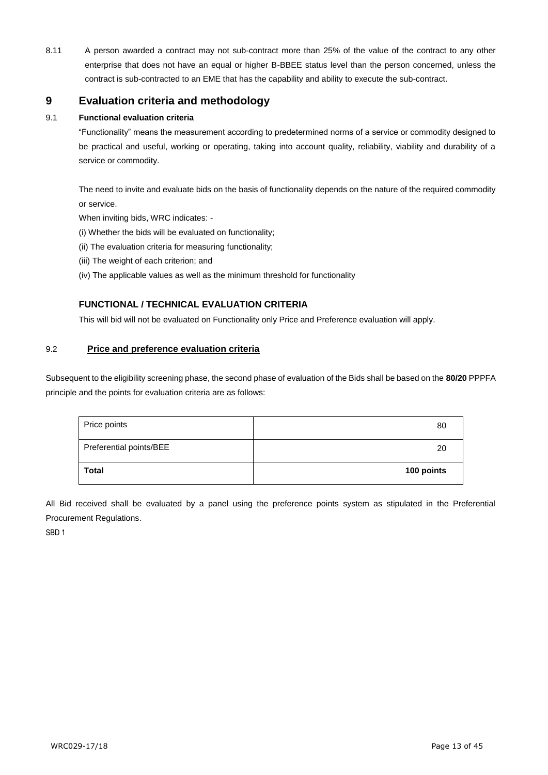8.11 A person awarded a contract may not sub-contract more than 25% of the value of the contract to any other enterprise that does not have an equal or higher B-BBEE status level than the person concerned, unless the contract is sub-contracted to an EME that has the capability and ability to execute the sub-contract.

### **9 Evaluation criteria and methodology**

#### 9.1 **Functional evaluation criteria**

"Functionality" means the measurement according to predetermined norms of a service or commodity designed to be practical and useful, working or operating, taking into account quality, reliability, viability and durability of a service or commodity.

The need to invite and evaluate bids on the basis of functionality depends on the nature of the required commodity or service.

When inviting bids, WRC indicates: -

- (i) Whether the bids will be evaluated on functionality;
- (ii) The evaluation criteria for measuring functionality;
- (iii) The weight of each criterion; and
- (iv) The applicable values as well as the minimum threshold for functionality

#### **FUNCTIONAL / TECHNICAL EVALUATION CRITERIA**

This will bid will not be evaluated on Functionality only Price and Preference evaluation will apply.

#### 9.2 **Price and preference evaluation criteria**

Subsequent to the eligibility screening phase, the second phase of evaluation of the Bids shall be based on the **80/20** PPPFA principle and the points for evaluation criteria are as follows:

| Price points            | 80         |
|-------------------------|------------|
| Preferential points/BEE | 20         |
| <b>Total</b>            | 100 points |

All Bid received shall be evaluated by a panel using the preference points system as stipulated in the Preferential Procurement Regulations.

SBD 1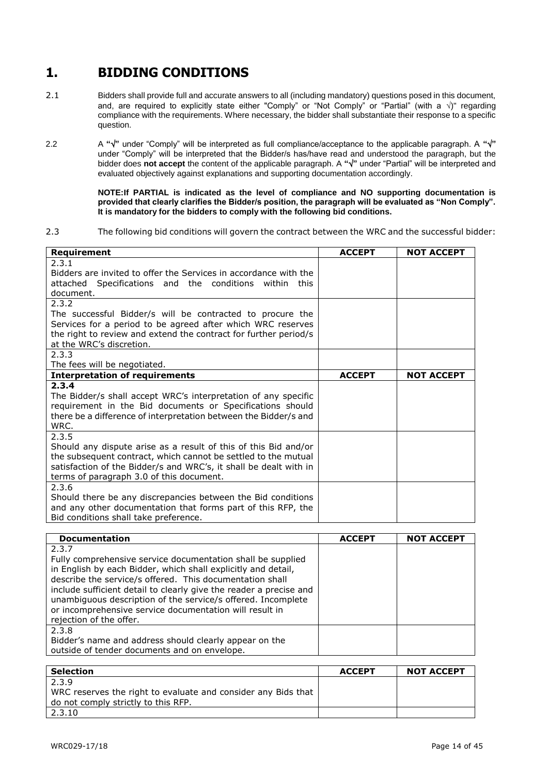# **1. BIDDING CONDITIONS**

- 2.1 Bidders shall provide full and accurate answers to all (including mandatory) questions posed in this document, and, are required to explicitly state either "Comply" or "Not Comply" or "Partial" (with a  $\sqrt{$ )" regarding compliance with the requirements. Where necessary, the bidder shall substantiate their response to a specific question.
- 2.2 A " $\sqrt{$ " under "Comply" will be interpreted as full compliance/acceptance to the applicable paragraph. A " $\sqrt{$ " under "Comply" will be interpreted that the Bidder/s has/have read and understood the paragraph, but the bidder does **not accept** the content of the applicable paragraph. A **""** under "Partial" will be interpreted and evaluated objectively against explanations and supporting documentation accordingly.

**NOTE:If PARTIAL is indicated as the level of compliance and NO supporting documentation is provided that clearly clarifies the Bidder/s position, the paragraph will be evaluated as "Non Comply". It is mandatory for the bidders to comply with the following bid conditions.**

2.3 The following bid conditions will govern the contract between the WRC and the successful bidder:

| Requirement                                                       | <b>ACCEPT</b> | <b>NOT ACCEPT</b> |
|-------------------------------------------------------------------|---------------|-------------------|
| 2.3.1                                                             |               |                   |
| Bidders are invited to offer the Services in accordance with the  |               |                   |
| attached Specifications and the conditions<br>within<br>this      |               |                   |
| document.                                                         |               |                   |
| 2.3.2                                                             |               |                   |
| The successful Bidder/s will be contracted to procure the         |               |                   |
| Services for a period to be agreed after which WRC reserves       |               |                   |
| the right to review and extend the contract for further period/s  |               |                   |
| at the WRC's discretion.                                          |               |                   |
| 2.3.3                                                             |               |                   |
| The fees will be negotiated.                                      |               |                   |
| <b>Interpretation of requirements</b>                             | <b>ACCEPT</b> | <b>NOT ACCEPT</b> |
| 2.3.4                                                             |               |                   |
| The Bidder/s shall accept WRC's interpretation of any specific    |               |                   |
| requirement in the Bid documents or Specifications should         |               |                   |
| there be a difference of interpretation between the Bidder/s and  |               |                   |
| WRC.                                                              |               |                   |
| 2.3.5                                                             |               |                   |
| Should any dispute arise as a result of this of this Bid and/or   |               |                   |
| the subsequent contract, which cannot be settled to the mutual    |               |                   |
| satisfaction of the Bidder/s and WRC's, it shall be dealt with in |               |                   |
| terms of paragraph 3.0 of this document.                          |               |                   |
| 2.3.6                                                             |               |                   |
| Should there be any discrepancies between the Bid conditions      |               |                   |
| and any other documentation that forms part of this RFP, the      |               |                   |
| Bid conditions shall take preference.                             |               |                   |

| <b>Documentation</b>                                                                                                                                                                                                                                                                                                                                                                                                          | <b>ACCEPT</b> | <b>NOT ACCEPT</b> |
|-------------------------------------------------------------------------------------------------------------------------------------------------------------------------------------------------------------------------------------------------------------------------------------------------------------------------------------------------------------------------------------------------------------------------------|---------------|-------------------|
| 2.3.7<br>Fully comprehensive service documentation shall be supplied<br>in English by each Bidder, which shall explicitly and detail,<br>describe the service/s offered. This documentation shall<br>include sufficient detail to clearly give the reader a precise and<br>unambiguous description of the service/s offered. Incomplete<br>or incomprehensive service documentation will result in<br>rejection of the offer. |               |                   |
| 2.3.8<br>Bidder's name and address should clearly appear on the<br>outside of tender documents and on envelope.                                                                                                                                                                                                                                                                                                               |               |                   |

| <b>Selection</b>                                              | <b>ACCEPT</b> | <b>NOT ACCEPT</b> |
|---------------------------------------------------------------|---------------|-------------------|
| 2.3.9                                                         |               |                   |
| WRC reserves the right to evaluate and consider any Bids that |               |                   |
| do not comply strictly to this RFP.                           |               |                   |
| 2.3.10                                                        |               |                   |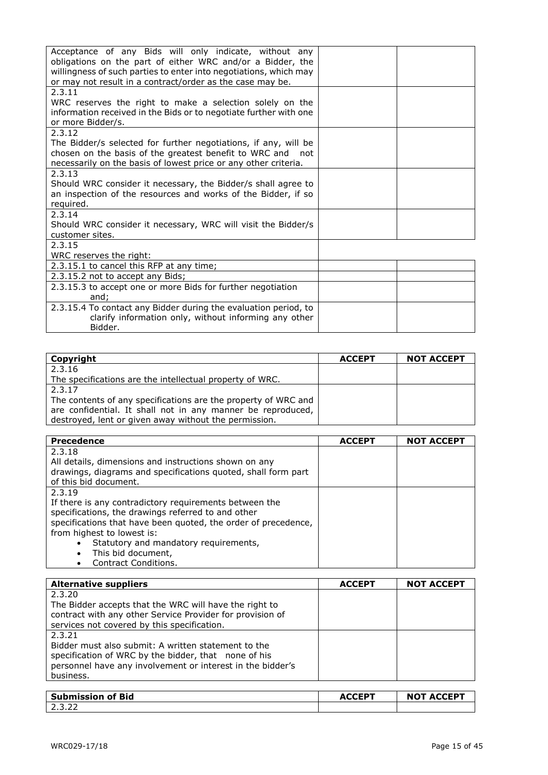| Acceptance of any Bids will only indicate, without any<br>obligations on the part of either WRC and/or a Bidder, the<br>willingness of such parties to enter into negotiations, which may<br>or may not result in a contract/order as the case may be. |  |
|--------------------------------------------------------------------------------------------------------------------------------------------------------------------------------------------------------------------------------------------------------|--|
| 2.3.11<br>WRC reserves the right to make a selection solely on the                                                                                                                                                                                     |  |
| information received in the Bids or to negotiate further with one<br>or more Bidder/s.                                                                                                                                                                 |  |
| 2.3.12                                                                                                                                                                                                                                                 |  |
| The Bidder/s selected for further negotiations, if any, will be                                                                                                                                                                                        |  |
| chosen on the basis of the greatest benefit to WRC and not                                                                                                                                                                                             |  |
| necessarily on the basis of lowest price or any other criteria.                                                                                                                                                                                        |  |
| 2.3.13<br>Should WRC consider it necessary, the Bidder/s shall agree to                                                                                                                                                                                |  |
| an inspection of the resources and works of the Bidder, if so                                                                                                                                                                                          |  |
| required.                                                                                                                                                                                                                                              |  |
| 2.3.14                                                                                                                                                                                                                                                 |  |
| Should WRC consider it necessary, WRC will visit the Bidder/s                                                                                                                                                                                          |  |
| customer sites.                                                                                                                                                                                                                                        |  |
| 2.3.15                                                                                                                                                                                                                                                 |  |
| WRC reserves the right:                                                                                                                                                                                                                                |  |
| 2.3.15.1 to cancel this RFP at any time;                                                                                                                                                                                                               |  |
| 2.3.15.2 not to accept any Bids;                                                                                                                                                                                                                       |  |
| 2.3.15.3 to accept one or more Bids for further negotiation<br>and;                                                                                                                                                                                    |  |
| 2.3.15.4 To contact any Bidder during the evaluation period, to                                                                                                                                                                                        |  |
| clarify information only, without informing any other                                                                                                                                                                                                  |  |
| Bidder.                                                                                                                                                                                                                                                |  |

| Copyright                                                      | <b>ACCEPT</b> | <b>NOT ACCEPT</b> |
|----------------------------------------------------------------|---------------|-------------------|
| 2.3.16                                                         |               |                   |
| The specifications are the intellectual property of WRC.       |               |                   |
| 2.3.17                                                         |               |                   |
| The contents of any specifications are the property of WRC and |               |                   |
| are confidential. It shall not in any manner be reproduced,    |               |                   |
| destroyed, lent or given away without the permission.          |               |                   |

| <b>Precedence</b>                                              | <b>ACCEPT</b> | <b>NOT ACCEPT</b> |
|----------------------------------------------------------------|---------------|-------------------|
| 2.3.18                                                         |               |                   |
| All details, dimensions and instructions shown on any          |               |                   |
| drawings, diagrams and specifications quoted, shall form part  |               |                   |
| of this bid document.                                          |               |                   |
| 2.3.19                                                         |               |                   |
| If there is any contradictory requirements between the         |               |                   |
| specifications, the drawings referred to and other             |               |                   |
| specifications that have been quoted, the order of precedence, |               |                   |
| from highest to lowest is:                                     |               |                   |
| Statutory and mandatory requirements,<br>$\bullet$             |               |                   |
| This bid document,<br>$\bullet$                                |               |                   |
| Contract Conditions.<br>$\bullet$                              |               |                   |

| <b>Alternative suppliers</b>                               | <b>ACCEPT</b> | <b>NOT ACCEPT</b> |
|------------------------------------------------------------|---------------|-------------------|
| 2.3.20                                                     |               |                   |
| The Bidder accepts that the WRC will have the right to     |               |                   |
| contract with any other Service Provider for provision of  |               |                   |
| services not covered by this specification.                |               |                   |
| 2.3.21                                                     |               |                   |
| Bidder must also submit: A written statement to the        |               |                   |
| specification of WRC by the bidder, that none of his       |               |                   |
| personnel have any involvement or interest in the bidder's |               |                   |
| business.                                                  |               |                   |
|                                                            |               |                   |

| Submission of Bid | ACCED <sup>T</sup><br>AU. | <b>NOT ACCEPT</b> |
|-------------------|---------------------------|-------------------|
| ے ۔ ۔ ۔ ۔         |                           |                   |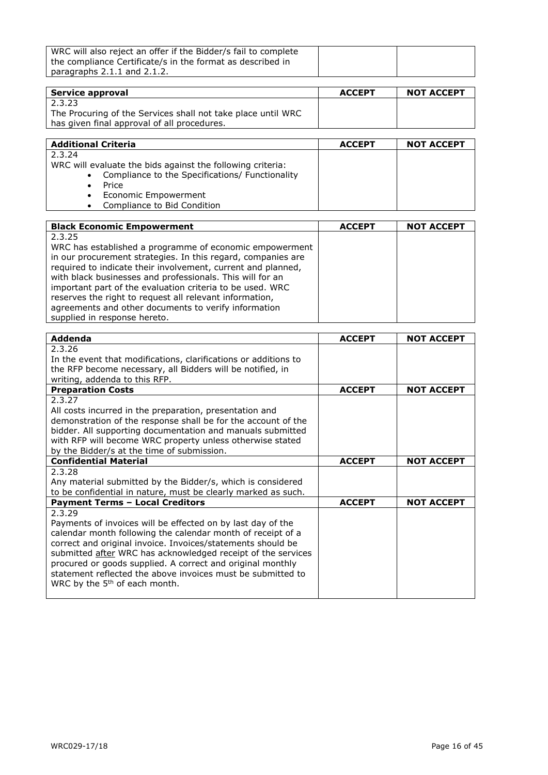| WRC will also reject an offer if the Bidder/s fail to complete |  |
|----------------------------------------------------------------|--|
| the compliance Certificate/s in the format as described in     |  |
| paragraphs $2.1.1$ and $2.1.2$ .                               |  |

| Service approval                                             | <b>ACCEPT</b> | <b>NOT ACCEPT</b> |
|--------------------------------------------------------------|---------------|-------------------|
| 2.3.23                                                       |               |                   |
| The Procuring of the Services shall not take place until WRC |               |                   |
| has given final approval of all procedures.                  |               |                   |

| <b>Additional Criteria</b>                                 | <b>ACCEPT</b> | <b>NOT ACCEPT</b> |
|------------------------------------------------------------|---------------|-------------------|
| 2.3.24                                                     |               |                   |
| WRC will evaluate the bids against the following criteria: |               |                   |
| • Compliance to the Specifications/ Functionality          |               |                   |
| Price                                                      |               |                   |
| • Economic Empowerment                                     |               |                   |
| Compliance to Bid Condition<br>$\bullet$                   |               |                   |

| <b>Black Economic Empowerment</b>                            | <b>ACCEPT</b> | <b>NOT ACCEPT</b> |
|--------------------------------------------------------------|---------------|-------------------|
| 2.3.25                                                       |               |                   |
| WRC has established a programme of economic empowerment      |               |                   |
| in our procurement strategies. In this regard, companies are |               |                   |
| required to indicate their involvement, current and planned, |               |                   |
| with black businesses and professionals. This will for an    |               |                   |
| important part of the evaluation criteria to be used. WRC    |               |                   |
| reserves the right to request all relevant information,      |               |                   |
| agreements and other documents to verify information         |               |                   |
| supplied in response hereto.                                 |               |                   |

| <b>Addenda</b>                                                  | <b>ACCEPT</b> | <b>NOT ACCEPT</b> |
|-----------------------------------------------------------------|---------------|-------------------|
| 2.3.26                                                          |               |                   |
| In the event that modifications, clarifications or additions to |               |                   |
| the RFP become necessary, all Bidders will be notified, in      |               |                   |
| writing, addenda to this RFP.                                   |               |                   |
| <b>Preparation Costs</b>                                        | <b>ACCEPT</b> | <b>NOT ACCEPT</b> |
| 2.3.27                                                          |               |                   |
| All costs incurred in the preparation, presentation and         |               |                   |
| demonstration of the response shall be for the account of the   |               |                   |
| bidder. All supporting documentation and manuals submitted      |               |                   |
| with RFP will become WRC property unless otherwise stated       |               |                   |
| by the Bidder/s at the time of submission.                      |               |                   |
| <b>Confidential Material</b>                                    | <b>ACCEPT</b> | <b>NOT ACCEPT</b> |
| 2.3.28                                                          |               |                   |
| Any material submitted by the Bidder/s, which is considered     |               |                   |
| to be confidential in nature, must be clearly marked as such.   |               |                   |
| <b>Payment Terms - Local Creditors</b>                          | <b>ACCEPT</b> | <b>NOT ACCEPT</b> |
| 2.3.29                                                          |               |                   |
| Payments of invoices will be effected on by last day of the     |               |                   |
| calendar month following the calendar month of receipt of a     |               |                   |
| correct and original invoice. Invoices/statements should be     |               |                   |
| submitted after WRC has acknowledged receipt of the services    |               |                   |
| procured or goods supplied. A correct and original monthly      |               |                   |
| statement reflected the above invoices must be submitted to     |               |                   |
| WRC by the 5 <sup>th</sup> of each month.                       |               |                   |
|                                                                 |               |                   |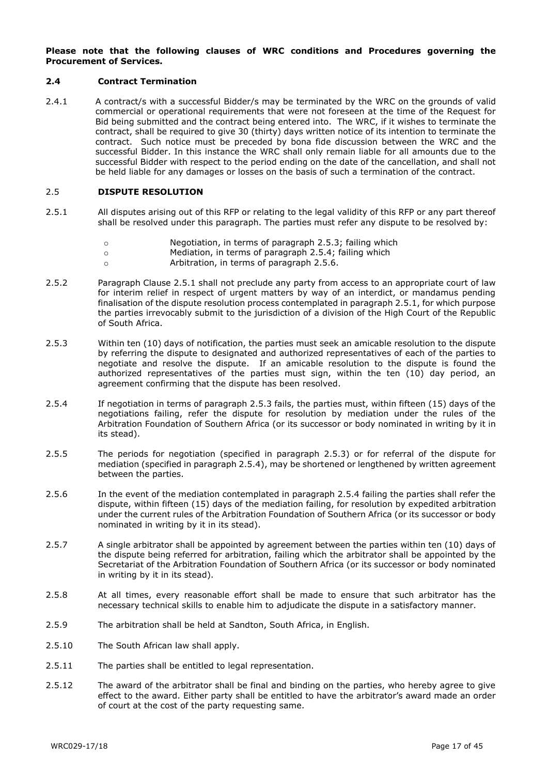#### **Please note that the following clauses of WRC conditions and Procedures governing the Procurement of Services.**

#### **2.4 Contract Termination**

2.4.1 A contract/s with a successful Bidder/s may be terminated by the WRC on the grounds of valid commercial or operational requirements that were not foreseen at the time of the Request for Bid being submitted and the contract being entered into. The WRC, if it wishes to terminate the contract, shall be required to give 30 (thirty) days written notice of its intention to terminate the contract. Such notice must be preceded by bona fide discussion between the WRC and the successful Bidder. In this instance the WRC shall only remain liable for all amounts due to the successful Bidder with respect to the period ending on the date of the cancellation, and shall not be held liable for any damages or losses on the basis of such a termination of the contract.

#### 2.5 **DISPUTE RESOLUTION**

- 2.5.1 All disputes arising out of this RFP or relating to the legal validity of this RFP or any part thereof shall be resolved under this paragraph. The parties must refer any dispute to be resolved by:
	- o Negotiation, in terms of paragraph 2.5.3; failing which
	- o Mediation, in terms of paragraph 2.5.4; failing which
	- o Arbitration, in terms of paragraph 2.5.6.
- 2.5.2 Paragraph Clause 2.5.1 shall not preclude any party from access to an appropriate court of law for interim relief in respect of urgent matters by way of an interdict, or mandamus pending finalisation of the dispute resolution process contemplated in paragraph 2.5.1, for which purpose the parties irrevocably submit to the jurisdiction of a division of the High Court of the Republic of South Africa.
- 2.5.3 Within ten (10) days of notification, the parties must seek an amicable resolution to the dispute by referring the dispute to designated and authorized representatives of each of the parties to negotiate and resolve the dispute. If an amicable resolution to the dispute is found the authorized representatives of the parties must sign, within the ten (10) day period, an agreement confirming that the dispute has been resolved.
- 2.5.4 If negotiation in terms of paragraph 2.5.3 fails, the parties must, within fifteen (15) days of the negotiations failing, refer the dispute for resolution by mediation under the rules of the Arbitration Foundation of Southern Africa (or its successor or body nominated in writing by it in its stead).
- 2.5.5 The periods for negotiation (specified in paragraph 2.5.3) or for referral of the dispute for mediation (specified in paragraph 2.5.4), may be shortened or lengthened by written agreement between the parties.
- 2.5.6 In the event of the mediation contemplated in paragraph 2.5.4 failing the parties shall refer the dispute, within fifteen (15) days of the mediation failing, for resolution by expedited arbitration under the current rules of the Arbitration Foundation of Southern Africa (or its successor or body nominated in writing by it in its stead).
- 2.5.7 A single arbitrator shall be appointed by agreement between the parties within ten (10) days of the dispute being referred for arbitration, failing which the arbitrator shall be appointed by the Secretariat of the Arbitration Foundation of Southern Africa (or its successor or body nominated in writing by it in its stead).
- 2.5.8 At all times, every reasonable effort shall be made to ensure that such arbitrator has the necessary technical skills to enable him to adjudicate the dispute in a satisfactory manner.
- 2.5.9 The arbitration shall be held at Sandton, South Africa, in English.
- 2.5.10 The South African law shall apply.
- 2.5.11 The parties shall be entitled to legal representation.
- 2.5.12 The award of the arbitrator shall be final and binding on the parties, who hereby agree to give effect to the award. Either party shall be entitled to have the arbitrator's award made an order of court at the cost of the party requesting same.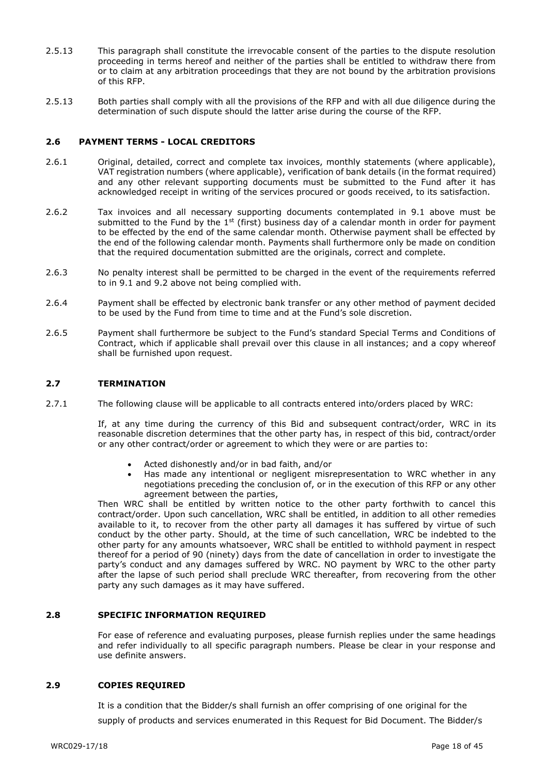- 2.5.13 This paragraph shall constitute the irrevocable consent of the parties to the dispute resolution proceeding in terms hereof and neither of the parties shall be entitled to withdraw there from or to claim at any arbitration proceedings that they are not bound by the arbitration provisions of this RFP.
- 2.5.13 Both parties shall comply with all the provisions of the RFP and with all due diligence during the determination of such dispute should the latter arise during the course of the RFP.

#### **2.6 PAYMENT TERMS - LOCAL CREDITORS**

- 2.6.1 Original, detailed, correct and complete tax invoices, monthly statements (where applicable), VAT registration numbers (where applicable), verification of bank details (in the format required) and any other relevant supporting documents must be submitted to the Fund after it has acknowledged receipt in writing of the services procured or goods received, to its satisfaction.
- 2.6.2 Tax invoices and all necessary supporting documents contemplated in 9.1 above must be submitted to the Fund by the  $1^{st}$  (first) business day of a calendar month in order for payment to be effected by the end of the same calendar month. Otherwise payment shall be effected by the end of the following calendar month. Payments shall furthermore only be made on condition that the required documentation submitted are the originals, correct and complete.
- 2.6.3 No penalty interest shall be permitted to be charged in the event of the requirements referred to in 9.1 and 9.2 above not being complied with.
- 2.6.4 Payment shall be effected by electronic bank transfer or any other method of payment decided to be used by the Fund from time to time and at the Fund's sole discretion.
- 2.6.5 Payment shall furthermore be subject to the Fund's standard Special Terms and Conditions of Contract, which if applicable shall prevail over this clause in all instances; and a copy whereof shall be furnished upon request.

#### **2.7 TERMINATION**

2.7.1 The following clause will be applicable to all contracts entered into/orders placed by WRC:

If, at any time during the currency of this Bid and subsequent contract/order, WRC in its reasonable discretion determines that the other party has, in respect of this bid, contract/order or any other contract/order or agreement to which they were or are parties to:

- Acted dishonestly and/or in bad faith, and/or
- Has made any intentional or negligent misrepresentation to WRC whether in any negotiations preceding the conclusion of, or in the execution of this RFP or any other agreement between the parties,

Then WRC shall be entitled by written notice to the other party forthwith to cancel this contract/order. Upon such cancellation, WRC shall be entitled, in addition to all other remedies available to it, to recover from the other party all damages it has suffered by virtue of such conduct by the other party. Should, at the time of such cancellation, WRC be indebted to the other party for any amounts whatsoever, WRC shall be entitled to withhold payment in respect thereof for a period of 90 (ninety) days from the date of cancellation in order to investigate the party's conduct and any damages suffered by WRC. NO payment by WRC to the other party after the lapse of such period shall preclude WRC thereafter, from recovering from the other party any such damages as it may have suffered.

#### **2.8 SPECIFIC INFORMATION REQUIRED**

For ease of reference and evaluating purposes, please furnish replies under the same headings and refer individually to all specific paragraph numbers. Please be clear in your response and use definite answers.

#### **2.9 COPIES REQUIRED**

It is a condition that the Bidder/s shall furnish an offer comprising of one original for the supply of products and services enumerated in this Request for Bid Document. The Bidder/s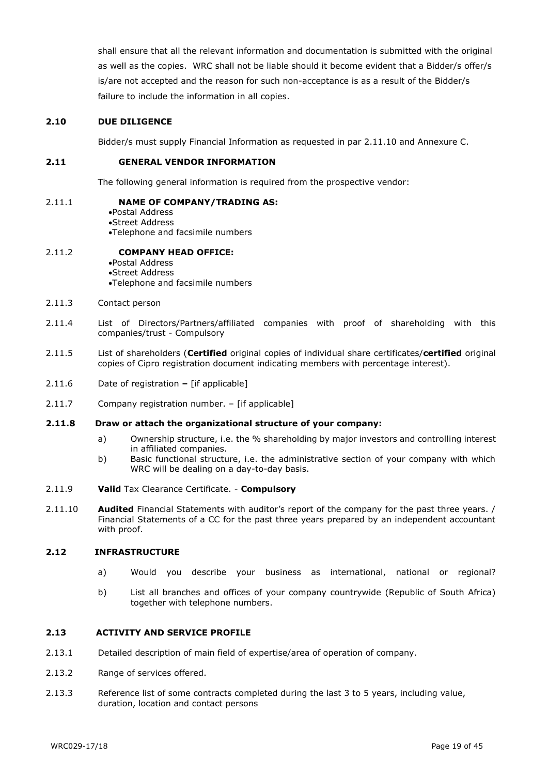shall ensure that all the relevant information and documentation is submitted with the original as well as the copies. WRC shall not be liable should it become evident that a Bidder/s offer/s is/are not accepted and the reason for such non-acceptance is as a result of the Bidder/s failure to include the information in all copies.

#### **2.10 DUE DILIGENCE**

Bidder/s must supply Financial Information as requested in par 2.11.10 and Annexure C.

#### **2.11 GENERAL VENDOR INFORMATION**

The following general information is required from the prospective vendor:

#### 2.11.1 **NAME OF COMPANY/TRADING AS:**

Postal Address Street Address Telephone and facsimile numbers

#### 2.11.2 **COMPANY HEAD OFFICE:**

Postal Address Street Address Telephone and facsimile numbers

- 2.11.3 Contact person
- 2.11.4 List of Directors/Partners/affiliated companies with proof of shareholding with this companies/trust - Compulsory
- 2.11.5 List of shareholders (**Certified** original copies of individual share certificates/**certified** original copies of Cipro registration document indicating members with percentage interest).
- 2.11.6 Date of registration **–** [if applicable]
- 2.11.7 Company registration number. [if applicable]

#### **2.11.8 Draw or attach the organizational structure of your company:**

- a) Ownership structure, i.e. the % shareholding by major investors and controlling interest in affiliated companies.
- b) Basic functional structure, i.e. the administrative section of your company with which WRC will be dealing on a day-to-day basis.
- 2.11.9 **Valid** Tax Clearance Certificate. **Compulsory**
- 2.11.10 **Audited** Financial Statements with auditor's report of the company for the past three years. / Financial Statements of a CC for the past three years prepared by an independent accountant with proof.

#### **2.12 INFRASTRUCTURE**

- a) Would you describe your business as international, national or regional?
- b) List all branches and offices of your company countrywide (Republic of South Africa) together with telephone numbers.

#### **2.13 ACTIVITY AND SERVICE PROFILE**

- 2.13.1 Detailed description of main field of expertise/area of operation of company.
- 2.13.2 Range of services offered.
- 2.13.3 Reference list of some contracts completed during the last 3 to 5 years, including value, duration, location and contact persons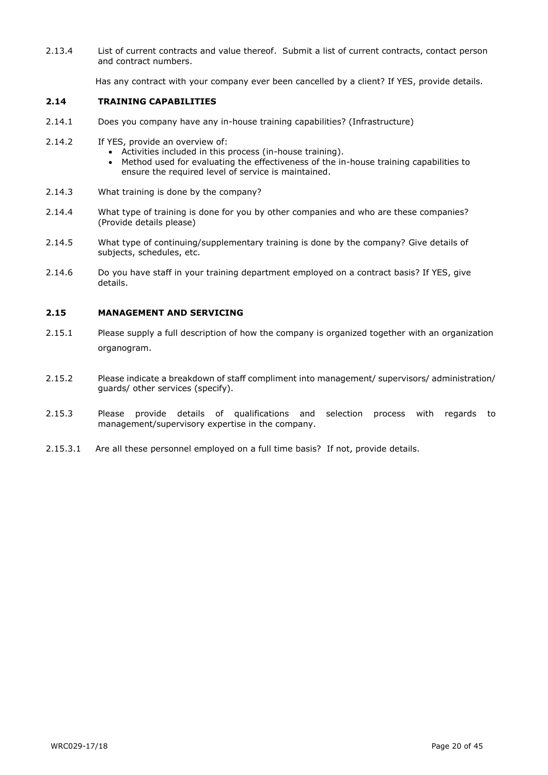2.13.4 List of current contracts and value thereof. Submit a list of current contracts, contact person and contract numbers.

Has any contract with your company ever been cancelled by a client? If YES, provide details.

#### **2.14 TRAINING CAPABILITIES**

- 2.14.1 Does you company have any in-house training capabilities? (Infrastructure)
- 2.14.2 If YES, provide an overview of:
	- Activities included in this process (in-house training).
	- Method used for evaluating the effectiveness of the in-house training capabilities to ensure the required level of service is maintained.
- 2.14.3 What training is done by the company?
- 2.14.4 What type of training is done for you by other companies and who are these companies? (Provide details please)
- 2.14.5 What type of continuing/supplementary training is done by the company? Give details of subjects, schedules, etc.
- 2.14.6 Do you have staff in your training department employed on a contract basis? If YES, give details.

#### **2.15 MANAGEMENT AND SERVICING**

- 2.15.1 Please supply a full description of how the company is organized together with an organization organogram.
- 2.15.2 Please indicate a breakdown of staff compliment into management/ supervisors/ administration/ guards/ other services (specify).
- 2.15.3 Please provide details of qualifications and selection process with regards to management/supervisory expertise in the company.
- 2.15.3.1 Are all these personnel employed on a full time basis? If not, provide details.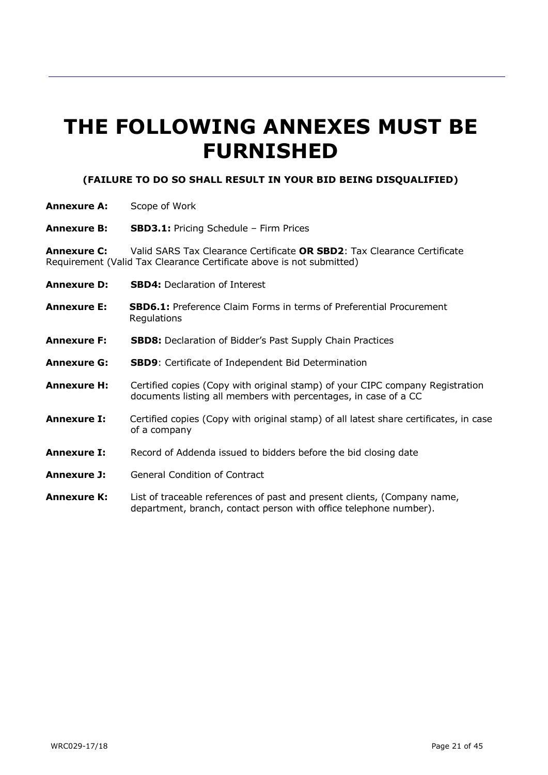# **THE FOLLOWING ANNEXES MUST BE FURNISHED**

### **(FAILURE TO DO SO SHALL RESULT IN YOUR BID BEING DISQUALIFIED)**

- **Annexure A:** Scope of Work
- **Annexure B: SBD3.1:** Pricing Schedule Firm Prices

**Annexure C:** Valid SARS Tax Clearance Certificate **OR SBD2**: Tax Clearance Certificate Requirement (Valid Tax Clearance Certificate above is not submitted)

- **Annexure D: SBD4:** Declaration of Interest
- **Annexure E: SBD6.1:** Preference Claim Forms in terms of Preferential Procurement **Regulations**
- **Annexure F: SBD8:** Declaration of Bidder's Past Supply Chain Practices
- **Annexure G: SBD9**: Certificate of Independent Bid Determination
- **Annexure H:** Certified copies (Copy with original stamp) of your CIPC company Registration documents listing all members with percentages, in case of a CC
- **Annexure I:** Certified copies (Copy with original stamp) of all latest share certificates, in case of a company
- **Annexure I:** Record of Addenda issued to bidders before the bid closing date
- **Annexure J:** General Condition of Contract
- **Annexure K:** List of traceable references of past and present clients, (Company name, department, branch, contact person with office telephone number).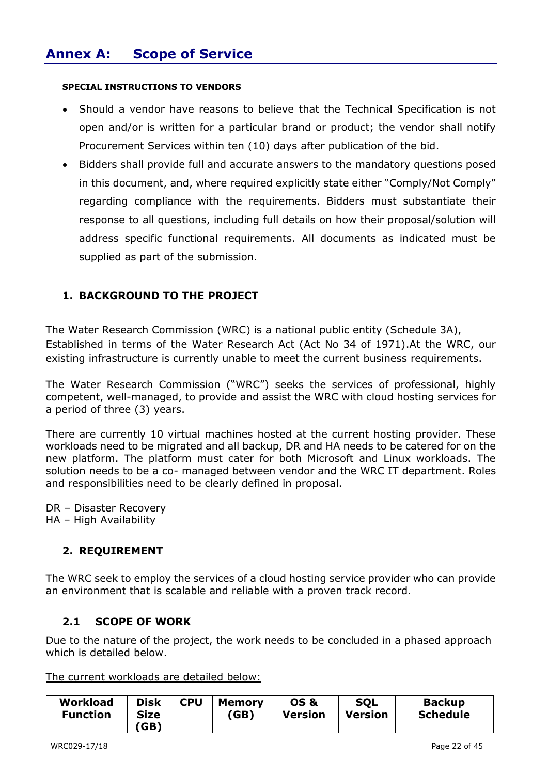#### **SPECIAL INSTRUCTIONS TO VENDORS**

- Should a vendor have reasons to believe that the Technical Specification is not open and/or is written for a particular brand or product; the vendor shall notify Procurement Services within ten (10) days after publication of the bid.
- Bidders shall provide full and accurate answers to the mandatory questions posed in this document, and, where required explicitly state either "Comply/Not Comply" regarding compliance with the requirements. Bidders must substantiate their response to all questions, including full details on how their proposal/solution will address specific functional requirements. All documents as indicated must be supplied as part of the submission.

### **1. BACKGROUND TO THE PROJECT**

The Water Research Commission (WRC) is a national public entity (Schedule 3A), Established in terms of the Water Research Act (Act No 34 of 1971).At the WRC, our existing infrastructure is currently unable to meet the current business requirements.

The Water Research Commission ("WRC") seeks the services of professional, highly competent, well-managed, to provide and assist the WRC with cloud hosting services for a period of three (3) years.

There are currently 10 virtual machines hosted at the current hosting provider. These workloads need to be migrated and all backup, DR and HA needs to be catered for on the new platform. The platform must cater for both Microsoft and Linux workloads. The solution needs to be a co- managed between vendor and the WRC IT department. Roles and responsibilities need to be clearly defined in proposal.

DR – Disaster Recovery HA – High Availability

### **2. REQUIREMENT**

The WRC seek to employ the services of a cloud hosting service provider who can provide an environment that is scalable and reliable with a proven track record.

### **2.1 SCOPE OF WORK**

Due to the nature of the project, the work needs to be concluded in a phased approach which is detailed below.

The current workloads are detailed below:

| <b>Workload</b> | <b>Disk</b> | <b>CPU</b> | <b>Memory</b> | <b>OS &amp;</b> | <b>SQL</b>     | <b>Backup</b>   |
|-----------------|-------------|------------|---------------|-----------------|----------------|-----------------|
| <b>Function</b> | Size        |            | (GB)          | <b>Version</b>  | <b>Version</b> | <b>Schedule</b> |
|                 | (GB)        |            |               |                 |                |                 |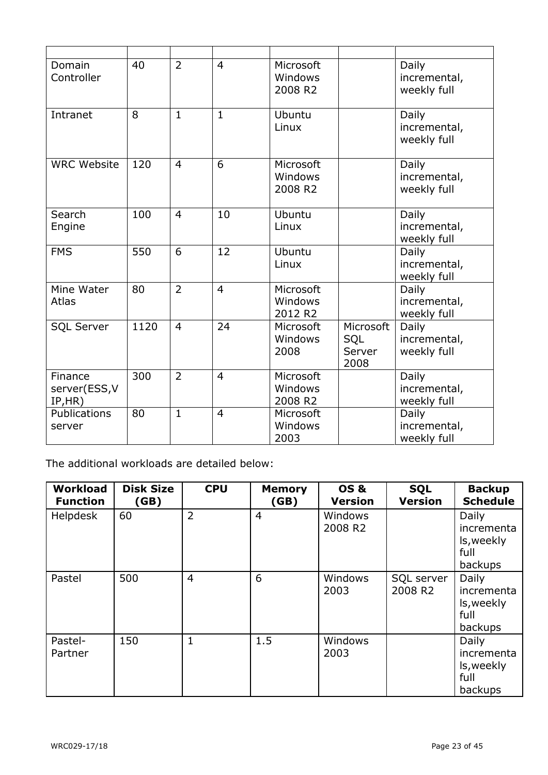| Domain<br>Controller                | 40   | $\overline{2}$ | $\overline{4}$ | Microsoft<br>Windows<br>2008 R2 |                                    | Daily<br>incremental,<br>weekly full |
|-------------------------------------|------|----------------|----------------|---------------------------------|------------------------------------|--------------------------------------|
| Intranet                            | 8    | $\mathbf{1}$   | $\mathbf{1}$   | Ubuntu<br>Linux                 |                                    | Daily<br>incremental,<br>weekly full |
| <b>WRC Website</b>                  | 120  | $\overline{4}$ | 6              | Microsoft<br>Windows<br>2008 R2 |                                    | Daily<br>incremental,<br>weekly full |
| Search<br>Engine                    | 100  | $\overline{4}$ | 10             | Ubuntu<br>Linux                 |                                    | Daily<br>incremental,<br>weekly full |
| <b>FMS</b>                          | 550  | 6              | 12             | Ubuntu<br>Linux                 |                                    | Daily<br>incremental,<br>weekly full |
| Mine Water<br>Atlas                 | 80   | $\overline{2}$ | $\overline{4}$ | Microsoft<br>Windows<br>2012 R2 |                                    | Daily<br>incremental,<br>weekly full |
| <b>SQL Server</b>                   | 1120 | $\overline{4}$ | 24             | Microsoft<br>Windows<br>2008    | Microsoft<br>SQL<br>Server<br>2008 | Daily<br>incremental,<br>weekly full |
| Finance<br>server(ESS, V<br>IP, HR) | 300  | $\overline{2}$ | $\overline{4}$ | Microsoft<br>Windows<br>2008 R2 |                                    | Daily<br>incremental,<br>weekly full |
| Publications<br>server              | 80   | $\mathbf{1}$   | $\overline{4}$ | Microsoft<br>Windows<br>2003    |                                    | Daily<br>incremental,<br>weekly full |

The additional workloads are detailed below:

| Workload<br><b>Function</b> | <b>Disk Size</b><br>(GB) | <b>CPU</b>     | <b>Memory</b><br>(GB) | <b>OS &amp;</b><br><b>Version</b>     | <b>SQL</b><br><b>Version</b> | <b>Backup</b><br><b>Schedule</b>                     |
|-----------------------------|--------------------------|----------------|-----------------------|---------------------------------------|------------------------------|------------------------------------------------------|
| <b>Helpdesk</b>             | 60                       | $\overline{2}$ | $\overline{4}$        | <b>Windows</b><br>2008 R <sub>2</sub> |                              | Daily<br>incrementa<br>ls, weekly<br>full<br>backups |
| Pastel                      | 500                      | $\overline{4}$ | 6                     | <b>Windows</b><br>2003                | SQL server<br>2008 R2        | Daily<br>incrementa<br>ls, weekly<br>full<br>backups |
| Pastel-<br>Partner          | 150                      | $\mathbf{1}$   | 1.5                   | <b>Windows</b><br>2003                |                              | Daily<br>incrementa<br>ls, weekly<br>full<br>backups |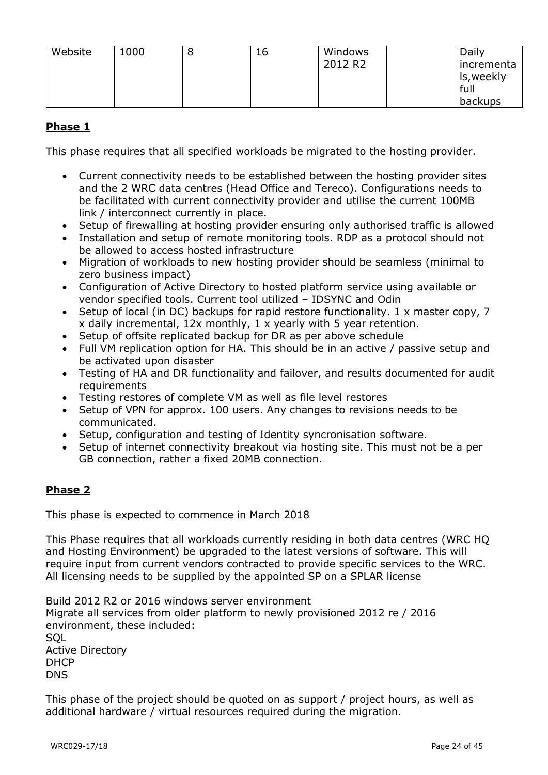| Website | 1000 | 8 | 16 | Windows<br>2012 R2 |  | Daily<br>incrementa<br>ls, weekly<br>full<br>backups |
|---------|------|---|----|--------------------|--|------------------------------------------------------|
|---------|------|---|----|--------------------|--|------------------------------------------------------|

### **Phase 1**

This phase requires that all specified workloads be migrated to the hosting provider.

- Current connectivity needs to be established between the hosting provider sites and the 2 WRC data centres (Head Office and Tereco). Configurations needs to be facilitated with current connectivity provider and utilise the current 100MB link / interconnect currently in place.
- Setup of firewalling at hosting provider ensuring only authorised traffic is allowed
- Installation and setup of remote monitoring tools. RDP as a protocol should not be allowed to access hosted infrastructure
- Migration of workloads to new hosting provider should be seamless (minimal to zero business impact)
- Configuration of Active Directory to hosted platform service using available or vendor specified tools. Current tool utilized – IDSYNC and Odin
- Setup of local (in DC) backups for rapid restore functionality. 1 x master copy, 7 x daily incremental, 12x monthly, 1 x yearly with 5 year retention.
- Setup of offsite replicated backup for DR as per above schedule
- Full VM replication option for HA. This should be in an active / passive setup and be activated upon disaster
- Testing of HA and DR functionality and failover, and results documented for audit requirements
- Testing restores of complete VM as well as file level restores
- Setup of VPN for approx. 100 users. Any changes to revisions needs to be communicated.
- Setup, configuration and testing of Identity syncronisation software.
- Setup of internet connectivity breakout via hosting site. This must not be a per GB connection, rather a fixed 20MB connection.

### **Phase 2**

This phase is expected to commence in March 2018

This Phase requires that all workloads currently residing in both data centres (WRC HQ and Hosting Environment) be upgraded to the latest versions of software. This will require input from current vendors contracted to provide specific services to the WRC. All licensing needs to be supplied by the appointed SP on a SPLAR license

Build 2012 R2 or 2016 windows server environment Migrate all services from older platform to newly provisioned 2012 re / 2016 environment, these included: **SQL** Active Directory **DHCP** DNS

This phase of the project should be quoted on as support / project hours, as well as additional hardware / virtual resources required during the migration.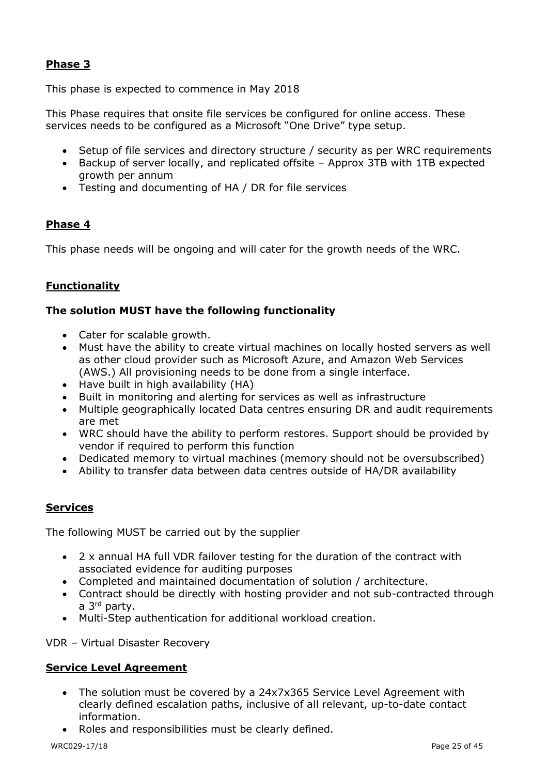### **Phase 3**

This phase is expected to commence in May 2018

This Phase requires that onsite file services be configured for online access. These services needs to be configured as a Microsoft "One Drive" type setup.

- Setup of file services and directory structure / security as per WRC requirements
- Backup of server locally, and replicated offsite Approx 3TB with 1TB expected growth per annum
- Testing and documenting of HA / DR for file services

### **Phase 4**

This phase needs will be ongoing and will cater for the growth needs of the WRC.

### **Functionality**

### **The solution MUST have the following functionality**

- Cater for scalable growth.
- Must have the ability to create virtual machines on locally hosted servers as well as other cloud provider such as Microsoft Azure, and Amazon Web Services (AWS.) All provisioning needs to be done from a single interface.
- Have built in high availability (HA)
- Built in monitoring and alerting for services as well as infrastructure
- Multiple geographically located Data centres ensuring DR and audit requirements are met
- WRC should have the ability to perform restores. Support should be provided by vendor if required to perform this function
- Dedicated memory to virtual machines (memory should not be oversubscribed)
- Ability to transfer data between data centres outside of HA/DR availability

### **Services**

The following MUST be carried out by the supplier

- 2 x annual HA full VDR failover testing for the duration of the contract with associated evidence for auditing purposes
- Completed and maintained documentation of solution / architecture.
- Contract should be directly with hosting provider and not sub-contracted through a 3rd party.
- Multi-Step authentication for additional workload creation.

VDR – Virtual Disaster Recovery

### **Service Level Agreement**

- The solution must be covered by a 24x7x365 Service Level Agreement with clearly defined escalation paths, inclusive of all relevant, up-to-date contact information.
- Roles and responsibilities must be clearly defined.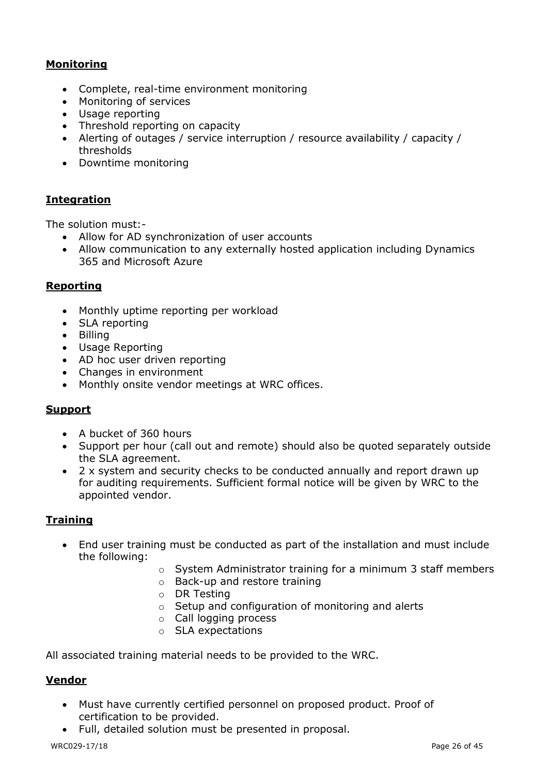### **Monitoring**

- Complete, real-time environment monitoring
- Monitoring of services
- Usage reporting
- Threshold reporting on capacity
- Alerting of outages / service interruption / resource availability / capacity / thresholds
- Downtime monitoring

### **Integration**

The solution must:-

- Allow for AD synchronization of user accounts
- Allow communication to any externally hosted application including Dynamics 365 and Microsoft Azure

### **Reporting**

- Monthly uptime reporting per workload
- SLA reporting
- Billing
- Usage Reporting
- AD hoc user driven reporting
- Changes in environment
- Monthly onsite vendor meetings at WRC offices.

### **Support**

- A bucket of 360 hours
- Support per hour (call out and remote) should also be quoted separately outside the SLA agreement.
- 2 x system and security checks to be conducted annually and report drawn up for auditing requirements. Sufficient formal notice will be given by WRC to the appointed vendor.

### **Training**

- End user training must be conducted as part of the installation and must include the following:
	- o System Administrator training for a minimum 3 staff members
	- o Back-up and restore training
	- o DR Testing
	- o Setup and configuration of monitoring and alerts
	- o Call logging process
	- o SLA expectations

All associated training material needs to be provided to the WRC.

### **Vendor**

- Must have currently certified personnel on proposed product. Proof of certification to be provided.
- Full, detailed solution must be presented in proposal.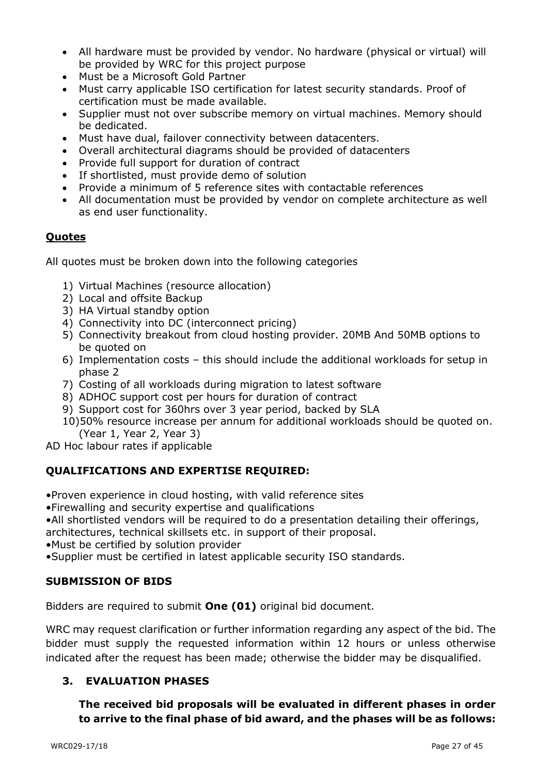- All hardware must be provided by vendor. No hardware (physical or virtual) will be provided by WRC for this project purpose
- Must be a Microsoft Gold Partner
- Must carry applicable ISO certification for latest security standards. Proof of certification must be made available.
- Supplier must not over subscribe memory on virtual machines. Memory should be dedicated.
- Must have dual, failover connectivity between datacenters.
- Overall architectural diagrams should be provided of datacenters
- Provide full support for duration of contract
- If shortlisted, must provide demo of solution
- Provide a minimum of 5 reference sites with contactable references
- All documentation must be provided by vendor on complete architecture as well as end user functionality.

### **Quotes**

All quotes must be broken down into the following categories

- 1) Virtual Machines (resource allocation)
- 2) Local and offsite Backup
- 3) HA Virtual standby option
- 4) Connectivity into DC (interconnect pricing)
- 5) Connectivity breakout from cloud hosting provider. 20MB And 50MB options to be quoted on
- 6) Implementation costs this should include the additional workloads for setup in phase 2
- 7) Costing of all workloads during migration to latest software
- 8) ADHOC support cost per hours for duration of contract
- 9) Support cost for 360hrs over 3 year period, backed by SLA
- 10)50% resource increase per annum for additional workloads should be quoted on. (Year 1, Year 2, Year 3)
- AD Hoc labour rates if applicable

### **QUALIFICATIONS AND EXPERTISE REQUIRED:**

•Proven experience in cloud hosting, with valid reference sites

- •Firewalling and security expertise and qualifications
- •All shortlisted vendors will be required to do a presentation detailing their offerings,

architectures, technical skillsets etc. in support of their proposal.

- •Must be certified by solution provider
- •Supplier must be certified in latest applicable security ISO standards.

### **SUBMISSION OF BIDS**

Bidders are required to submit **One (01)** original bid document.

WRC may request clarification or further information regarding any aspect of the bid. The bidder must supply the requested information within 12 hours or unless otherwise indicated after the request has been made; otherwise the bidder may be disqualified.

### **3. EVALUATION PHASES**

**The received bid proposals will be evaluated in different phases in order to arrive to the final phase of bid award, and the phases will be as follows:**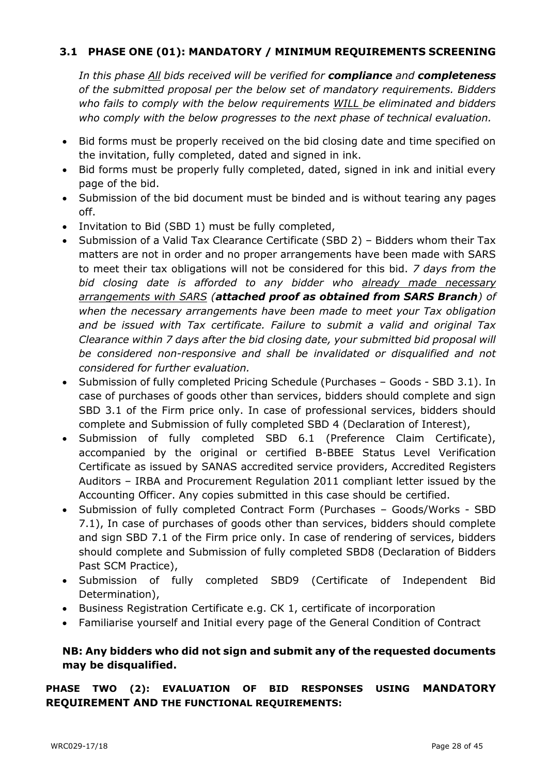### **3.1 PHASE ONE (01): MANDATORY / MINIMUM REQUIREMENTS SCREENING**

*In this phase All bids received will be verified for compliance and completeness of the submitted proposal per the below set of mandatory requirements. Bidders who fails to comply with the below requirements WILL be eliminated and bidders who comply with the below progresses to the next phase of technical evaluation.*

- Bid forms must be properly received on the bid closing date and time specified on the invitation, fully completed, dated and signed in ink.
- Bid forms must be properly fully completed, dated, signed in ink and initial every page of the bid.
- Submission of the bid document must be binded and is without tearing any pages off.
- Invitation to Bid (SBD 1) must be fully completed,
- Submission of a Valid Tax Clearance Certificate (SBD 2) Bidders whom their Tax matters are not in order and no proper arrangements have been made with SARS to meet their tax obligations will not be considered for this bid. *7 days from the bid closing date is afforded to any bidder who already made necessary arrangements with SARS (attached proof as obtained from SARS Branch) of when the necessary arrangements have been made to meet your Tax obligation and be issued with Tax certificate. Failure to submit a valid and original Tax Clearance within 7 days after the bid closing date, your submitted bid proposal will be considered non-responsive and shall be invalidated or disqualified and not considered for further evaluation.*
- Submission of fully completed Pricing Schedule (Purchases Goods SBD 3.1). In case of purchases of goods other than services, bidders should complete and sign SBD 3.1 of the Firm price only. In case of professional services, bidders should complete and Submission of fully completed SBD 4 (Declaration of Interest),
- Submission of fully completed SBD 6.1 (Preference Claim Certificate), accompanied by the original or certified B-BBEE Status Level Verification Certificate as issued by SANAS accredited service providers, Accredited Registers Auditors – IRBA and Procurement Regulation 2011 compliant letter issued by the Accounting Officer. Any copies submitted in this case should be certified.
- Submission of fully completed Contract Form (Purchases Goods/Works SBD 7.1), In case of purchases of goods other than services, bidders should complete and sign SBD 7.1 of the Firm price only. In case of rendering of services, bidders should complete and Submission of fully completed SBD8 (Declaration of Bidders Past SCM Practice),
- Submission of fully completed SBD9 (Certificate of Independent Bid Determination),
- Business Registration Certificate e.g. CK 1, certificate of incorporation
- Familiarise yourself and Initial every page of the General Condition of Contract

### **NB: Any bidders who did not sign and submit any of the requested documents may be disqualified.**

### **PHASE TWO (2): EVALUATION OF BID RESPONSES USING MANDATORY REQUIREMENT AND THE FUNCTIONAL REQUIREMENTS:**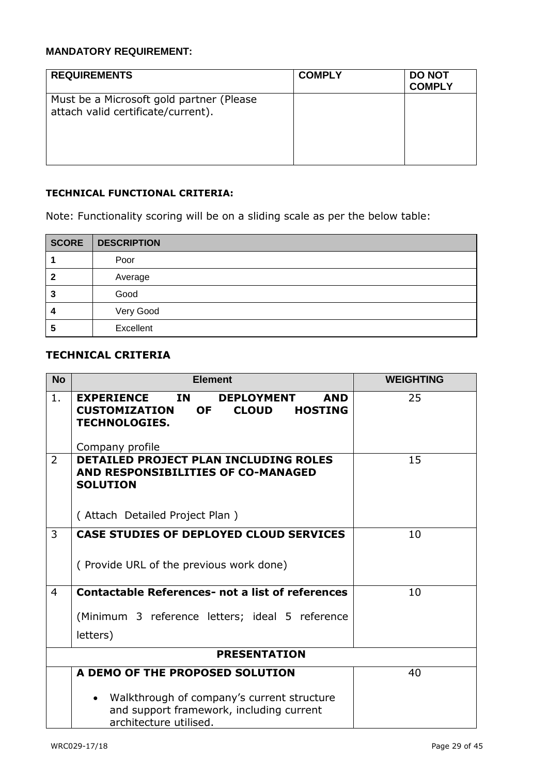### **MANDATORY REQUIREMENT:**

| <b>REQUIREMENTS</b>                                                             | <b>COMPLY</b> | <b>DO NOT</b><br><b>COMPLY</b> |
|---------------------------------------------------------------------------------|---------------|--------------------------------|
| Must be a Microsoft gold partner (Please)<br>attach valid certificate/current). |               |                                |

### **TECHNICAL FUNCTIONAL CRITERIA:**

Note: Functionality scoring will be on a sliding scale as per the below table:

| <b>SCORE</b> | <b>DESCRIPTION</b> |
|--------------|--------------------|
|              | Poor               |
|              | Average            |
| 3            | Good               |
|              | Very Good          |
| b            | Excellent          |

### **TECHNICAL CRITERIA**

| <b>No</b>      | <b>Element</b>                                                                                                                                                               | <b>WEIGHTING</b> |
|----------------|------------------------------------------------------------------------------------------------------------------------------------------------------------------------------|------------------|
| 1.             | <b>EXPERIENCE</b><br>IN<br><b>DEPLOYMENT</b><br><b>AND</b><br><b>CUSTOMIZATION</b><br><b>OF</b><br><b>CLOUD</b><br><b>HOSTING</b><br><b>TECHNOLOGIES.</b><br>Company profile | 25               |
| $\overline{2}$ | <b>DETAILED PROJECT PLAN INCLUDING ROLES</b><br>AND RESPONSIBILITIES OF CO-MANAGED<br><b>SOLUTION</b><br>(Attach Detailed Project Plan)                                      | 15               |
| 3              | <b>CASE STUDIES OF DEPLOYED CLOUD SERVICES</b><br>(Provide URL of the previous work done)                                                                                    | 10               |
| 4              | <b>Contactable References- not a list of references</b><br>(Minimum 3 reference letters; ideal 5 reference<br>letters)                                                       | 10               |
|                | <b>PRESENTATION</b>                                                                                                                                                          |                  |
|                | A DEMO OF THE PROPOSED SOLUTION<br>Walkthrough of company's current structure<br>and support framework, including current<br>architecture utilised.                          | 40               |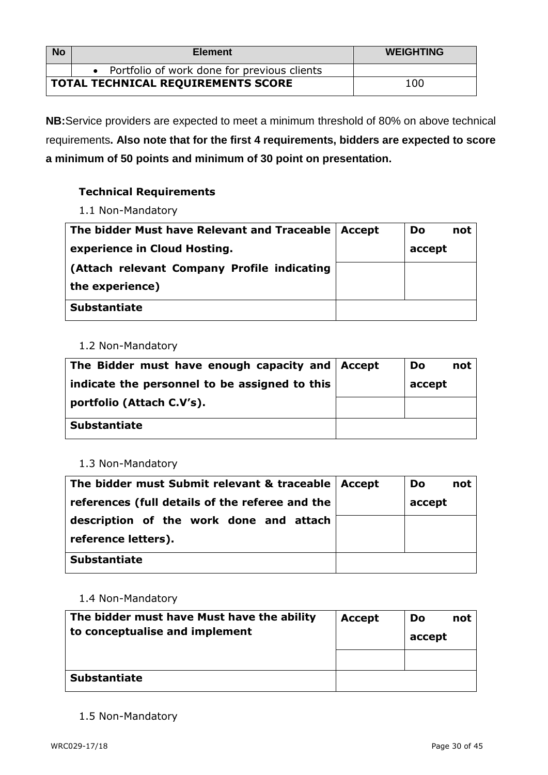| <b>No</b>                          | <b>Element</b>                                | <b>WEIGHTING</b> |
|------------------------------------|-----------------------------------------------|------------------|
|                                    | • Portfolio of work done for previous clients |                  |
| TOTAL TECHNICAL REQUIREMENTS SCORE |                                               | 100              |

**NB:**Service providers are expected to meet a minimum threshold of 80% on above technical requirements**. Also note that for the first 4 requirements, bidders are expected to score a minimum of 50 points and minimum of 30 point on presentation.**

### **Technical Requirements**

1.1 Non-Mandatory

| The bidder Must have Relevant and Traceable   Accept | Do     | not |
|------------------------------------------------------|--------|-----|
| experience in Cloud Hosting.                         | accept |     |
| (Attach relevant Company Profile indicating          |        |     |
| the experience)                                      |        |     |
| <b>Substantiate</b>                                  |        |     |

### 1.2 Non-Mandatory

| The Bidder must have enough capacity and Accept | Do     | not |
|-------------------------------------------------|--------|-----|
| indicate the personnel to be assigned to this   | accept |     |
| portfolio (Attach C.V's).                       |        |     |
| <b>Substantiate</b>                             |        |     |

### 1.3 Non-Mandatory

| The bidder must Submit relevant & traceable   Accept | Do<br>not |
|------------------------------------------------------|-----------|
| references (full details of the referee and the      | accept    |
| description of the work done and attach              |           |
| reference letters).                                  |           |
| <b>Substantiate</b>                                  |           |

### 1.4 Non-Mandatory

| The bidder must have Must have the ability<br>to conceptualise and implement | <b>Accept</b> | Do<br>not<br>accept |
|------------------------------------------------------------------------------|---------------|---------------------|
|                                                                              |               |                     |
| <b>Substantiate</b>                                                          |               |                     |

1.5 Non-Mandatory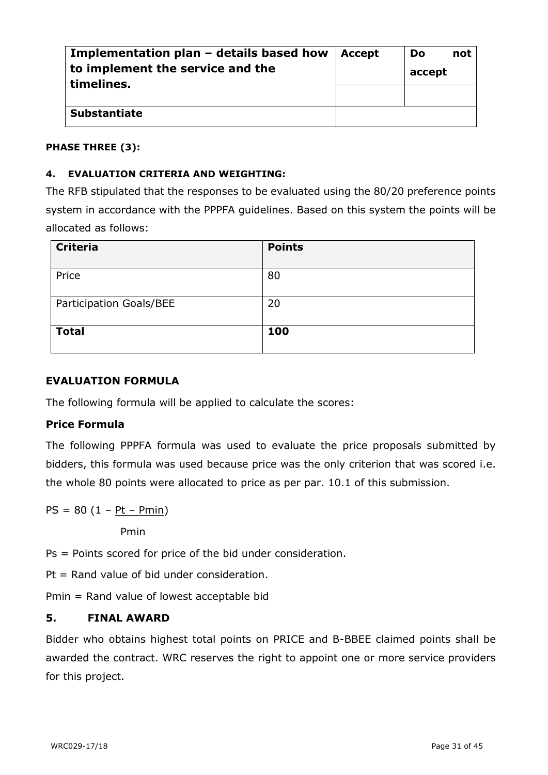| Implementation plan – details based how<br>to implement the service and the<br>timelines. | <b>Accept</b> | Do<br>accept | not |
|-------------------------------------------------------------------------------------------|---------------|--------------|-----|
|                                                                                           |               |              |     |
| <b>Substantiate</b>                                                                       |               |              |     |

### **PHASE THREE (3):**

### **4. EVALUATION CRITERIA AND WEIGHTING:**

The RFB stipulated that the responses to be evaluated using the 80/20 preference points system in accordance with the PPPFA guidelines. Based on this system the points will be allocated as follows:

| <b>Criteria</b>         | <b>Points</b> |
|-------------------------|---------------|
| Price                   | 80            |
| Participation Goals/BEE | 20            |
| <b>Total</b>            | 100           |

### **EVALUATION FORMULA**

The following formula will be applied to calculate the scores:

### **Price Formula**

The following PPPFA formula was used to evaluate the price proposals submitted by bidders, this formula was used because price was the only criterion that was scored i.e. the whole 80 points were allocated to price as per par. 10.1 of this submission.

 $PS = 80 (1 - Pt - Pmin)$ 

Pmin

Ps = Points scored for price of the bid under consideration.

Pt = Rand value of bid under consideration.

Pmin = Rand value of lowest acceptable bid

### **5. FINAL AWARD**

Bidder who obtains highest total points on PRICE and B-BBEE claimed points shall be awarded the contract. WRC reserves the right to appoint one or more service providers for this project.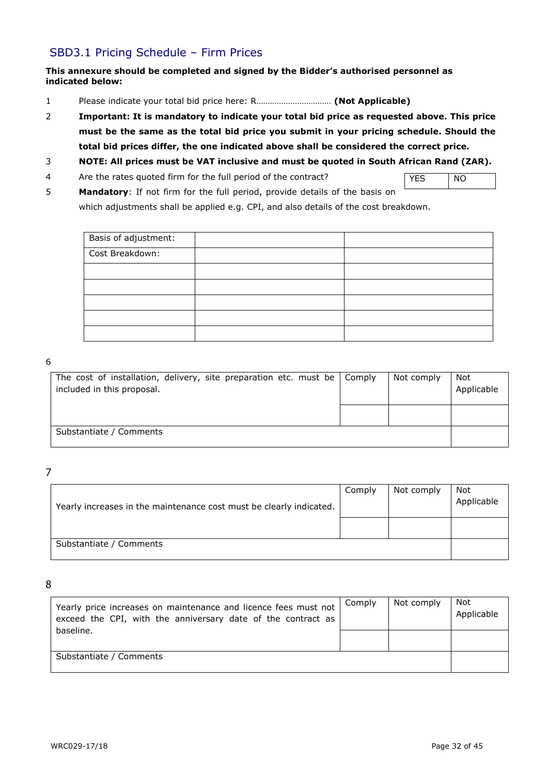### SBD3.1 Pricing Schedule – Firm Prices

#### **This annexure should be completed and signed by the Bidder's authorised personnel as indicated below:**

- 1 Please indicate your total bid price here: R…………………………… **(Not Applicable)**
- 2 **Important: It is mandatory to indicate your total bid price as requested above. This price must be the same as the total bid price you submit in your pricing schedule. Should the total bid prices differ, the one indicated above shall be considered the correct price.**
- 3 **NOTE: All prices must be VAT inclusive and must be quoted in South African Rand (ZAR).**
- 4 Are the rates quoted firm for the full period of the contract?
- YES NO
- 5 **Mandatory**: If not firm for the full period, provide details of the basis on which adjustments shall be applied e.g. CPI, and also details of the cost breakdown.

| Basis of adjustment: |  |
|----------------------|--|
| Cost Breakdown:      |  |
|                      |  |
|                      |  |
|                      |  |
|                      |  |
|                      |  |

#### 6

| The cost of installation, delivery, site preparation etc. must be $\vert$ Comply<br>included in this proposal. | Not comply | Not<br>Applicable |
|----------------------------------------------------------------------------------------------------------------|------------|-------------------|
|                                                                                                                |            |                   |
| Substantiate / Comments                                                                                        |            |                   |

7

| Yearly increases in the maintenance cost must be clearly indicated. | Comply | Not comply | Not<br>Applicable |
|---------------------------------------------------------------------|--------|------------|-------------------|
|                                                                     |        |            |                   |
| Substantiate / Comments                                             |        |            |                   |

8

| Yearly price increases on maintenance and licence fees must not<br>exceed the CPI, with the anniversary date of the contract as | Comply | Not comply | Not<br>Applicable |
|---------------------------------------------------------------------------------------------------------------------------------|--------|------------|-------------------|
| baseline.                                                                                                                       |        |            |                   |
| Substantiate / Comments                                                                                                         |        |            |                   |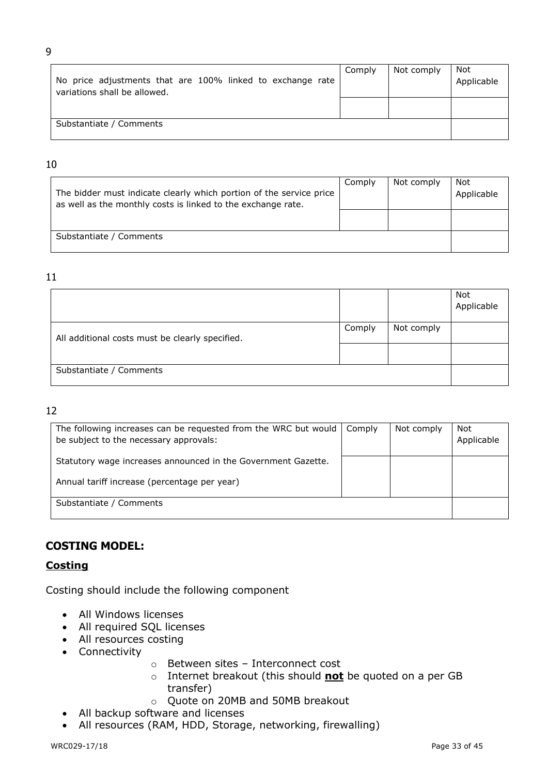| No price adjustments that are 100% linked to exchange rate<br>variations shall be allowed. | Comply | Not comply | Not<br>Applicable |
|--------------------------------------------------------------------------------------------|--------|------------|-------------------|
|                                                                                            |        |            |                   |
| Substantiate / Comments                                                                    |        |            |                   |

#### 10

| The bidder must indicate clearly which portion of the service price<br>as well as the monthly costs is linked to the exchange rate. | Comply | Not comply | Not<br>Applicable |
|-------------------------------------------------------------------------------------------------------------------------------------|--------|------------|-------------------|
| Substantiate / Comments                                                                                                             |        |            |                   |

#### 11

|                                                 |        |            | Not<br>Applicable |
|-------------------------------------------------|--------|------------|-------------------|
| All additional costs must be clearly specified. | Comply | Not comply |                   |
|                                                 |        |            |                   |
| Substantiate / Comments                         |        |            |                   |

### 12

| The following increases can be requested from the WRC but would<br>be subject to the necessary approvals: | Comply | Not comply | Not<br>Applicable |
|-----------------------------------------------------------------------------------------------------------|--------|------------|-------------------|
| Statutory wage increases announced in the Government Gazette.                                             |        |            |                   |
| Annual tariff increase (percentage per year)                                                              |        |            |                   |
| Substantiate / Comments                                                                                   |        |            |                   |

### **COSTING MODEL:**

### **Costing**

Costing should include the following component

- All Windows licenses
- All required SQL licenses
- All resources costing
- Connectivity
- o Between sites Interconnect cost
- o Internet breakout (this should **not** be quoted on a per GB transfer)
- o Quote on 20MB and 50MB breakout
- All backup software and licenses
- All resources (RAM, HDD, Storage, networking, firewalling)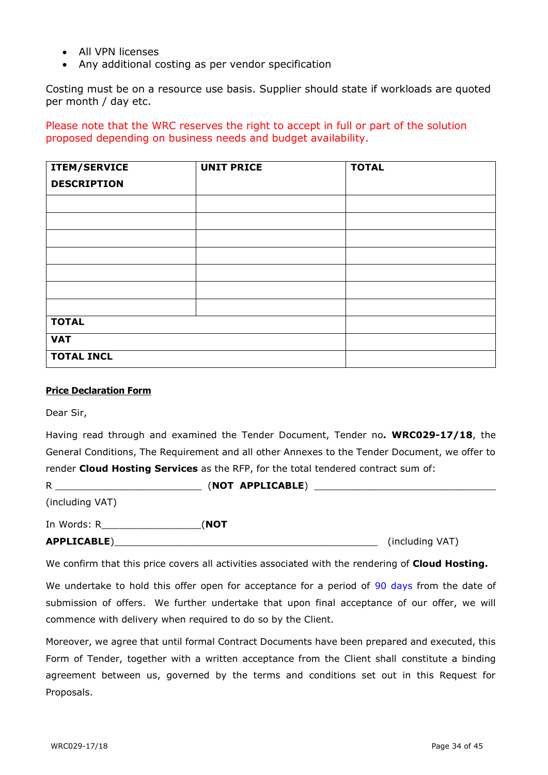- All VPN licenses
- Any additional costing as per vendor specification

Costing must be on a resource use basis. Supplier should state if workloads are quoted per month / day etc.

### Please note that the WRC reserves the right to accept in full or part of the solution proposed depending on business needs and budget availability.

| ITEM/SERVICE       | <b>UNIT PRICE</b> | <b>TOTAL</b> |
|--------------------|-------------------|--------------|
| <b>DESCRIPTION</b> |                   |              |
|                    |                   |              |
|                    |                   |              |
|                    |                   |              |
|                    |                   |              |
|                    |                   |              |
|                    |                   |              |
|                    |                   |              |
| <b>TOTAL</b>       |                   |              |
| <b>VAT</b>         |                   |              |
| <b>TOTAL INCL</b>  |                   |              |

#### **Price Declaration Form**

Dear Sir,

Having read through and examined the Tender Document, Tender no*.* **WRC029-17/18**, the General Conditions, The Requirement and all other Annexes to the Tender Document, we offer to render **Cloud Hosting Services** as the RFP, for the total tendered contract sum of:

| R                  | (NOT APPLICABLE) |                 |
|--------------------|------------------|-----------------|
| (including VAT)    |                  |                 |
| In Words: R        | (NOT             |                 |
| <b>APPLICABLE)</b> |                  | (including VAT) |

We confirm that this price covers all activities associated with the rendering of **Cloud Hosting.**

We undertake to hold this offer open for acceptance for a period of 90 days from the date of submission of offers. We further undertake that upon final acceptance of our offer, we will commence with delivery when required to do so by the Client.

Moreover, we agree that until formal Contract Documents have been prepared and executed, this Form of Tender, together with a written acceptance from the Client shall constitute a binding agreement between us, governed by the terms and conditions set out in this Request for Proposals.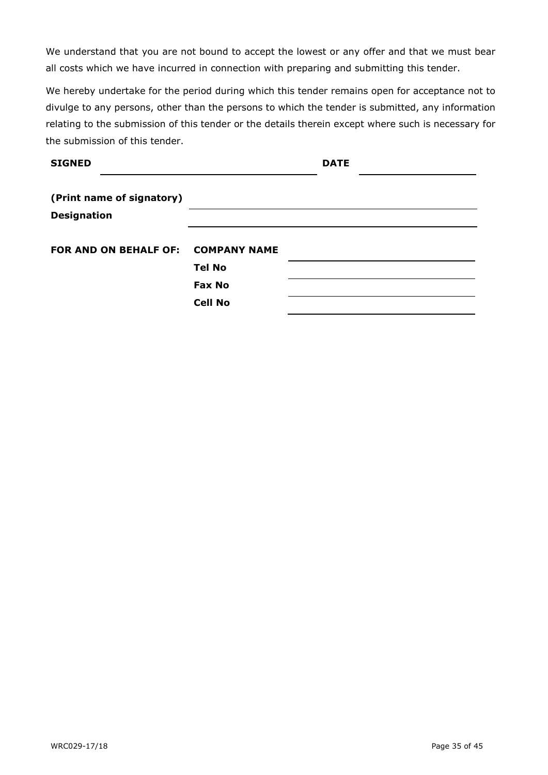We understand that you are not bound to accept the lowest or any offer and that we must bear all costs which we have incurred in connection with preparing and submitting this tender.

We hereby undertake for the period during which this tender remains open for acceptance not to divulge to any persons, other than the persons to which the tender is submitted, any information relating to the submission of this tender or the details therein except where such is necessary for the submission of this tender.

| <b>SIGNED</b>                      |                | <b>DATE</b> |  |
|------------------------------------|----------------|-------------|--|
| (Print name of signatory)          |                |             |  |
| <b>Designation</b>                 |                |             |  |
| FOR AND ON BEHALF OF: COMPANY NAME |                |             |  |
|                                    | <b>Tel No</b>  |             |  |
|                                    | <b>Fax No</b>  |             |  |
|                                    | <b>Cell No</b> |             |  |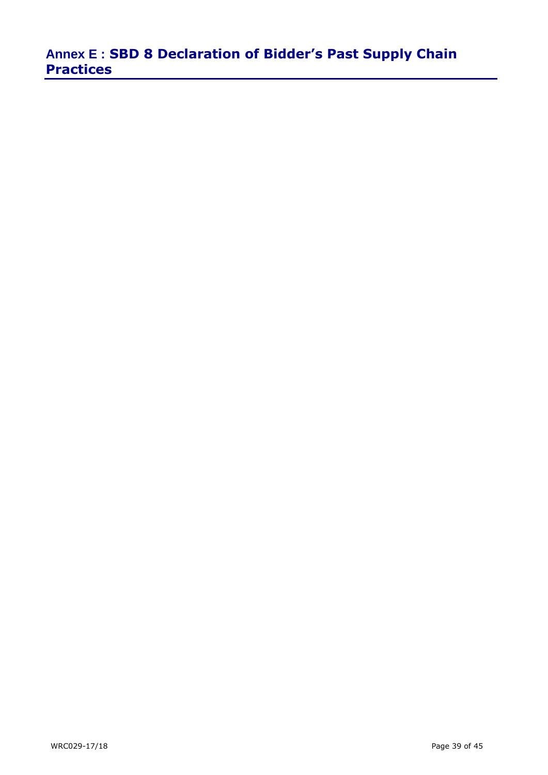# **Annex E : SBD 8 Declaration of Bidder's Past Supply Chain Practices**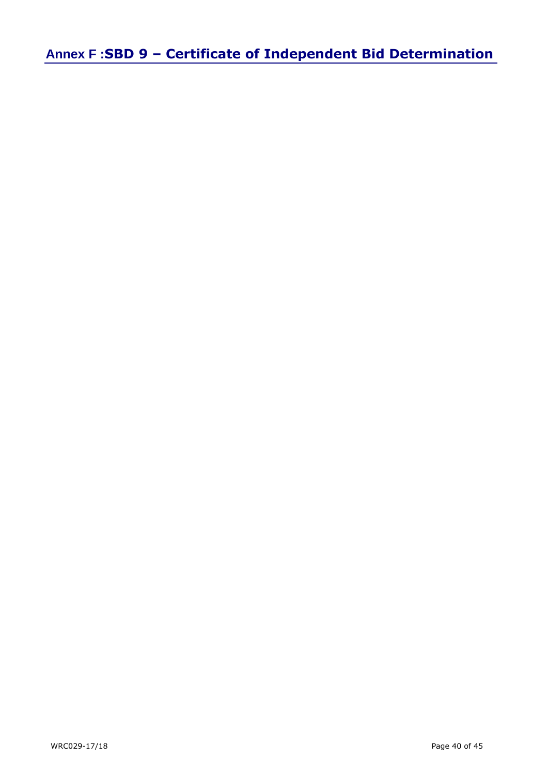**Annex F :SBD 9 – Certificate of Independent Bid Determination**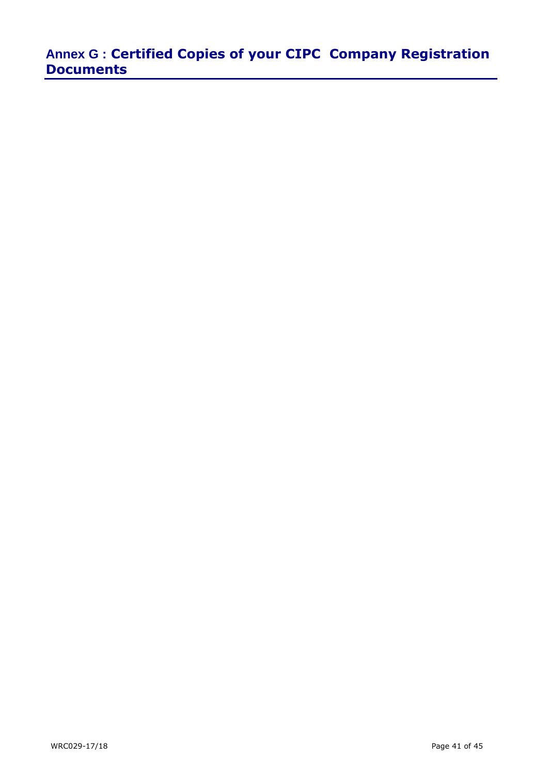# **Annex G : Certified Copies of your CIPC Company Registration Documents**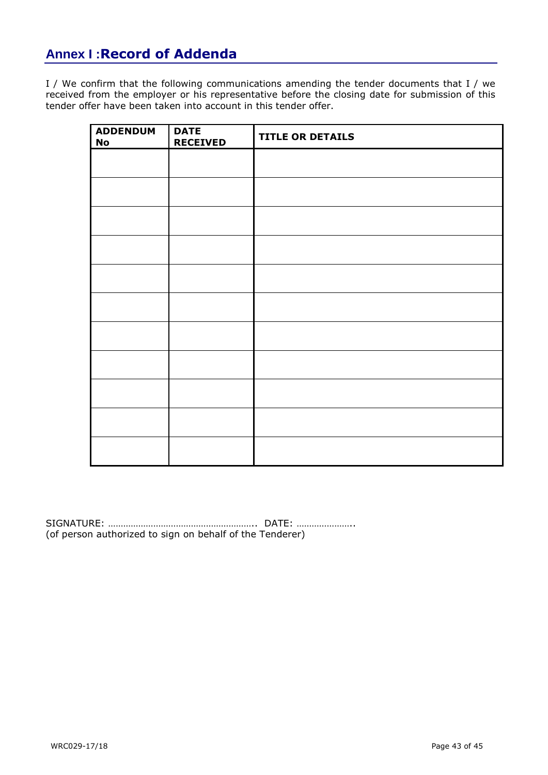## **Annex I :Record of Addenda**

I / We confirm that the following communications amending the tender documents that I / we received from the employer or his representative before the closing date for submission of this tender offer have been taken into account in this tender offer.

| <b>ADDENDUM</b><br><b>No</b> | <b>DATE</b><br><b>RECEIVED</b> | <b>TITLE OR DETAILS</b> |
|------------------------------|--------------------------------|-------------------------|
|                              |                                |                         |
|                              |                                |                         |
|                              |                                |                         |
|                              |                                |                         |
|                              |                                |                         |
|                              |                                |                         |
|                              |                                |                         |
|                              |                                |                         |
|                              |                                |                         |
|                              |                                |                         |
|                              |                                |                         |

SIGNATURE: ………………………………………………….. DATE: ………………….. (of person authorized to sign on behalf of the Tenderer)